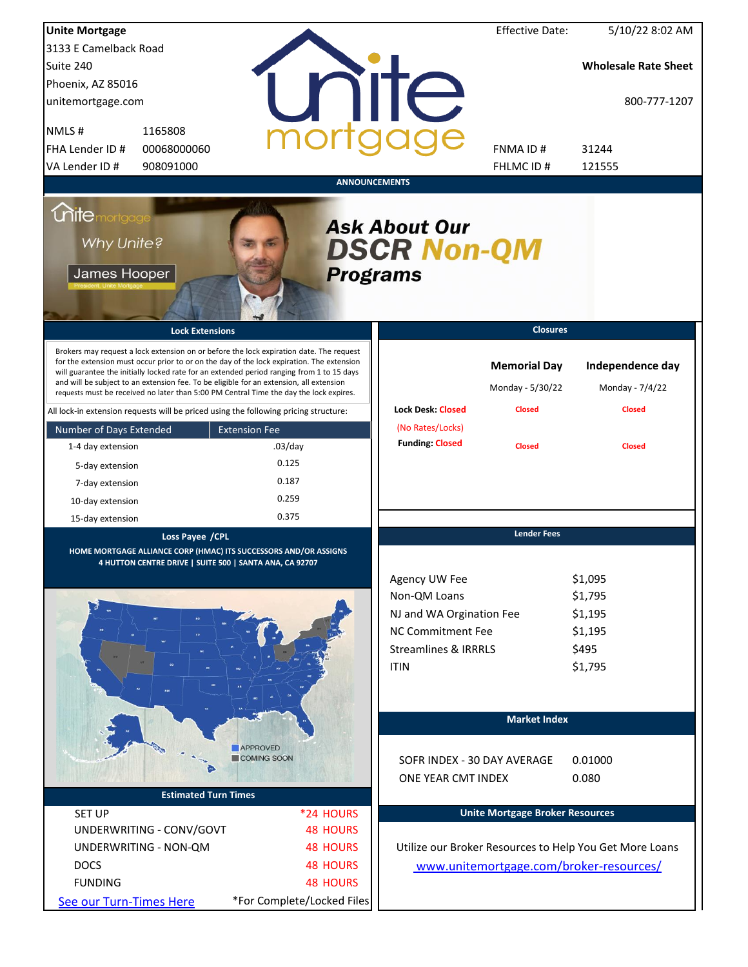| <b>Unite Mortgage</b>                                                                                                                                                                                                                                                                                                                                                                                                                                                  |                                                                                                                                                 |                            |                      |                                                                                                                                  | <b>Effective Date:</b>                  | 5/10/22 8:02 AM                                              |  |  |  |
|------------------------------------------------------------------------------------------------------------------------------------------------------------------------------------------------------------------------------------------------------------------------------------------------------------------------------------------------------------------------------------------------------------------------------------------------------------------------|-------------------------------------------------------------------------------------------------------------------------------------------------|----------------------------|----------------------|----------------------------------------------------------------------------------------------------------------------------------|-----------------------------------------|--------------------------------------------------------------|--|--|--|
| 3133 E Camelback Road                                                                                                                                                                                                                                                                                                                                                                                                                                                  |                                                                                                                                                 |                            |                      |                                                                                                                                  |                                         |                                                              |  |  |  |
| Suite 240                                                                                                                                                                                                                                                                                                                                                                                                                                                              |                                                                                                                                                 |                            |                      |                                                                                                                                  |                                         | <b>Wholesale Rate Sheet</b>                                  |  |  |  |
| Phoenix, AZ 85016                                                                                                                                                                                                                                                                                                                                                                                                                                                      |                                                                                                                                                 |                            |                      |                                                                                                                                  |                                         |                                                              |  |  |  |
| unitemortgage.com                                                                                                                                                                                                                                                                                                                                                                                                                                                      |                                                                                                                                                 |                            |                      | <b>ilTe</b>                                                                                                                      |                                         | 800-777-1207                                                 |  |  |  |
| NMLS#                                                                                                                                                                                                                                                                                                                                                                                                                                                                  | 1165808                                                                                                                                         |                            |                      |                                                                                                                                  |                                         |                                                              |  |  |  |
| FHA Lender ID #                                                                                                                                                                                                                                                                                                                                                                                                                                                        | 00068000060                                                                                                                                     |                            |                      |                                                                                                                                  | FNMA ID#                                | 31244                                                        |  |  |  |
| VA Lender ID #                                                                                                                                                                                                                                                                                                                                                                                                                                                         | 908091000                                                                                                                                       |                            |                      |                                                                                                                                  | FHLMC ID#                               | 121555                                                       |  |  |  |
|                                                                                                                                                                                                                                                                                                                                                                                                                                                                        |                                                                                                                                                 |                            | <b>ANNOUNCEMENTS</b> |                                                                                                                                  |                                         |                                                              |  |  |  |
| <i><b>Unitemortgage</b></i><br><b>Ask About Our</b><br>Why Unite?<br><b>DSCR Non-QM</b><br>James Hooper<br><b>Programs</b>                                                                                                                                                                                                                                                                                                                                             |                                                                                                                                                 |                            |                      |                                                                                                                                  |                                         |                                                              |  |  |  |
|                                                                                                                                                                                                                                                                                                                                                                                                                                                                        | <b>Lock Extensions</b>                                                                                                                          |                            |                      |                                                                                                                                  | <b>Closures</b>                         |                                                              |  |  |  |
| Brokers may request a lock extension on or before the lock expiration date. The request<br>for the extension must occur prior to or on the day of the lock expiration. The extension<br>will guarantee the initially locked rate for an extended period ranging from 1 to 15 days<br>and will be subject to an extension fee. To be eligible for an extension, all extension<br>requests must be received no later than 5:00 PM Central Time the day the lock expires. |                                                                                                                                                 |                            |                      |                                                                                                                                  | <b>Memorial Day</b><br>Monday - 5/30/22 | Independence day<br>Monday - 7/4/22                          |  |  |  |
| All lock-in extension requests will be priced using the following pricing structure:                                                                                                                                                                                                                                                                                                                                                                                   |                                                                                                                                                 |                            |                      | <b>Lock Desk: Closed</b>                                                                                                         | <b>Closed</b>                           | <b>Closed</b>                                                |  |  |  |
| Number of Days Extended                                                                                                                                                                                                                                                                                                                                                                                                                                                |                                                                                                                                                 | <b>Extension Fee</b>       |                      | (No Rates/Locks)<br><b>Funding: Closed</b>                                                                                       |                                         |                                                              |  |  |  |
| 1-4 day extension                                                                                                                                                                                                                                                                                                                                                                                                                                                      |                                                                                                                                                 | $.03$ /day                 |                      |                                                                                                                                  | <b>Closed</b>                           | <b>Closed</b>                                                |  |  |  |
| 5-day extension                                                                                                                                                                                                                                                                                                                                                                                                                                                        |                                                                                                                                                 | 0.125                      |                      |                                                                                                                                  |                                         |                                                              |  |  |  |
| 7-day extension                                                                                                                                                                                                                                                                                                                                                                                                                                                        |                                                                                                                                                 | 0.187                      |                      |                                                                                                                                  |                                         |                                                              |  |  |  |
| 10-day extension                                                                                                                                                                                                                                                                                                                                                                                                                                                       |                                                                                                                                                 | 0.259                      |                      |                                                                                                                                  |                                         |                                                              |  |  |  |
| 15-day extension                                                                                                                                                                                                                                                                                                                                                                                                                                                       |                                                                                                                                                 | 0.375                      |                      |                                                                                                                                  |                                         |                                                              |  |  |  |
|                                                                                                                                                                                                                                                                                                                                                                                                                                                                        | Loss Payee / CPL<br>HOME MORTGAGE ALLIANCE CORP (HMAC) ITS SUCCESSORS AND/OR ASSIGNS<br>4 HUTTON CENTRE DRIVE   SUITE 500   SANTA ANA, CA 92707 |                            |                      | Agency UW Fee<br>Non-QM Loans<br>NJ and WA Orgination Fee<br>NC Commitment Fee<br><b>Streamlines &amp; IRRRLS</b><br><b>ITIN</b> | <b>Lender Fees</b>                      | \$1,095<br>\$1,795<br>\$1,195<br>\$1,195<br>\$495<br>\$1,795 |  |  |  |
|                                                                                                                                                                                                                                                                                                                                                                                                                                                                        |                                                                                                                                                 |                            |                      |                                                                                                                                  | <b>Market Index</b>                     |                                                              |  |  |  |
|                                                                                                                                                                                                                                                                                                                                                                                                                                                                        |                                                                                                                                                 | <b>APPROVED</b>            |                      |                                                                                                                                  |                                         |                                                              |  |  |  |
|                                                                                                                                                                                                                                                                                                                                                                                                                                                                        |                                                                                                                                                 | COMING SOON                |                      | SOFR INDEX - 30 DAY AVERAGE                                                                                                      |                                         | 0.01000                                                      |  |  |  |
|                                                                                                                                                                                                                                                                                                                                                                                                                                                                        |                                                                                                                                                 |                            |                      | ONE YEAR CMT INDEX                                                                                                               |                                         | 0.080                                                        |  |  |  |
|                                                                                                                                                                                                                                                                                                                                                                                                                                                                        | <b>Estimated Turn Times</b>                                                                                                                     |                            |                      |                                                                                                                                  |                                         |                                                              |  |  |  |
| <b>SET UP</b>                                                                                                                                                                                                                                                                                                                                                                                                                                                          |                                                                                                                                                 |                            | *24 HOURS            |                                                                                                                                  | <b>Unite Mortgage Broker Resources</b>  |                                                              |  |  |  |
|                                                                                                                                                                                                                                                                                                                                                                                                                                                                        | UNDERWRITING - CONV/GOVT                                                                                                                        |                            | <b>48 HOURS</b>      |                                                                                                                                  |                                         |                                                              |  |  |  |
| UNDERWRITING - NON-QM                                                                                                                                                                                                                                                                                                                                                                                                                                                  |                                                                                                                                                 |                            | <b>48 HOURS</b>      |                                                                                                                                  |                                         | Utilize our Broker Resources to Help You Get More Loans      |  |  |  |
| <b>DOCS</b>                                                                                                                                                                                                                                                                                                                                                                                                                                                            |                                                                                                                                                 |                            | <b>48 HOURS</b>      |                                                                                                                                  |                                         | www.unitemortgage.com/broker-resources/                      |  |  |  |
| <b>FUNDING</b>                                                                                                                                                                                                                                                                                                                                                                                                                                                         |                                                                                                                                                 |                            | <b>48 HOURS</b>      |                                                                                                                                  |                                         |                                                              |  |  |  |
| See our Turn-Times Here                                                                                                                                                                                                                                                                                                                                                                                                                                                |                                                                                                                                                 | *For Complete/Locked Files |                      |                                                                                                                                  |                                         |                                                              |  |  |  |
|                                                                                                                                                                                                                                                                                                                                                                                                                                                                        |                                                                                                                                                 |                            |                      |                                                                                                                                  |                                         |                                                              |  |  |  |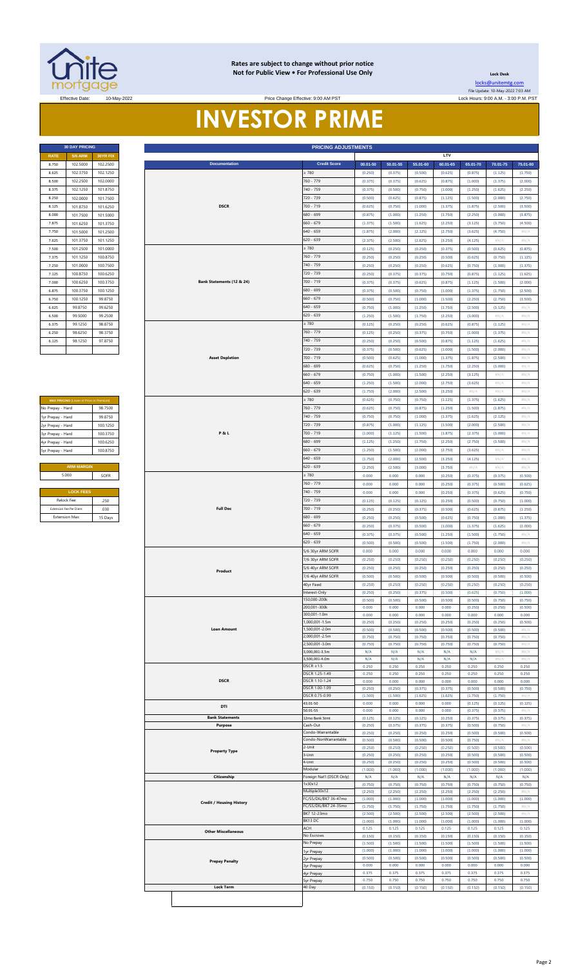

#### **Rates are subject to change without prior notice Not for Public View • For Professional Use Only**

Price Change Effective: 9:00 AM PST

**Lock Desk**

[locks@unitemtg](mailto:locks@unitemtg.com).com File Update: 10-May-2022 7:03 AM Effective Date: 10-May-2022 Lock Hours: 9:00 A.M. - 3:00 P.M. PST

# **INVESTOR PRIME**

| <b>30 DAY PRICING</b> |                |                 |  |  |  |  |  |  |
|-----------------------|----------------|-----------------|--|--|--|--|--|--|
| <b>RATE</b>           | <b>5/6 ARM</b> | <b>30YR FIX</b> |  |  |  |  |  |  |
| 8.750                 | 102.5000       | 102.2500        |  |  |  |  |  |  |
| 8.625                 | 102.3750       | 102.1250        |  |  |  |  |  |  |
| 8.500                 | 102.2500       | 102.0000        |  |  |  |  |  |  |
| 8.375                 | 102.1250       | 101.8750        |  |  |  |  |  |  |
| 8.250                 | 102.0000       | 101.7500        |  |  |  |  |  |  |
| 8.125                 | 101.8750       | 101.6250        |  |  |  |  |  |  |
| 8.000                 | 101.7500       | 101.5000        |  |  |  |  |  |  |
| 7.875                 | 101.6250       | 101.3750        |  |  |  |  |  |  |
| 7.750                 | 101.5000       | 101.2500        |  |  |  |  |  |  |
| 7.625                 | 101.3750       | 101.1250        |  |  |  |  |  |  |
| 7.500                 | 101.2500       | 101.0000        |  |  |  |  |  |  |
| 7.375                 | 101.1250       | 100.8750        |  |  |  |  |  |  |
| 7.250                 | 101.0000       | 100.7500        |  |  |  |  |  |  |
| 7.125                 | 100.8750       | 100.6250        |  |  |  |  |  |  |
| 7.000                 | 100.6250       | 100.3750        |  |  |  |  |  |  |
| 6.875                 | 100.3750       | 100.1250        |  |  |  |  |  |  |
| 6.750                 | 100.1250       | 99.8750         |  |  |  |  |  |  |
| 6.625                 | 99.8750        | 99.6250         |  |  |  |  |  |  |
| 6.500                 | 99.5000        | 99.2500         |  |  |  |  |  |  |
| 6.375                 | 99.1250        | 98.8750         |  |  |  |  |  |  |
| 6.250                 | 98.6250        | 98.3750         |  |  |  |  |  |  |
| 6.125                 | 98.1250        | 97.8750         |  |  |  |  |  |  |
|                       |                |                 |  |  |  |  |  |  |

| <b>MAX PRICING</b> (Lower of Price or Premium) |          |  |  |  |  |  |  |
|------------------------------------------------|----------|--|--|--|--|--|--|
| No Prepay - Hard                               | 98 7500  |  |  |  |  |  |  |
| 1yr Prepay - Hard                              | 99 8750  |  |  |  |  |  |  |
| 2yr Prepay - Hard                              | 100 1250 |  |  |  |  |  |  |
| 3yr Prepay - Hard                              | 100.3750 |  |  |  |  |  |  |
| 4yr Prepay - Hard                              | 100 6250 |  |  |  |  |  |  |
| 5yr Prepay - Hard                              | 100 8750 |  |  |  |  |  |  |
|                                                |          |  |  |  |  |  |  |
| <b>ARM MARGIN</b>                              |          |  |  |  |  |  |  |
| 5.000                                          | SOFR     |  |  |  |  |  |  |
|                                                |          |  |  |  |  |  |  |
| <b>LOCK FEES</b>                               |          |  |  |  |  |  |  |
| Relock Fee:                                    | 250      |  |  |  |  |  |  |
| Extension Fee Per Diem:                        | .030     |  |  |  |  |  |  |
| <b>Extension Max:</b>                          | 15 Days  |  |  |  |  |  |  |

|                      | <b>30 DAY PRICING</b>                                  |                      |                |                                 | <b>PRICING ADJUSTMENTS</b>             |                    |                    |                    |                    |                    |                    |                            |
|----------------------|--------------------------------------------------------|----------------------|----------------|---------------------------------|----------------------------------------|--------------------|--------------------|--------------------|--------------------|--------------------|--------------------|----------------------------|
| <b>RATE</b><br>8.750 | <b>5/6 ARM</b><br>102.5000                             | 30YR FIX<br>102.2500 |                | <b>Documentation</b>            | <b>Credit Score</b>                    | $00.01 - 50$       | $50.01 - 55$       | 55.01-60           | LTV<br>60.01-65    | 65.01-70           | 70.01-75           | 75.01-80                   |
| 8.625                | 102.3750                                               | 102.1250             |                |                                 | 2780                                   | (0.250)            | (0.375)            | (0.500)            | (0.625)            | (0.875)            | (1.125)            | (1.750)                    |
| 8.500                | 102.2500                                               | 102.0000             |                |                                 | 760 - 779                              | (0.375)            | (0.375)            | (0.625)            | (0.875)            | (1.000)            | (1.375)            | (2.000)                    |
| 8.375                | 102.1250                                               | 101.8750             |                | 740 - 759                       |                                        | (0.375)            | (0.500)            | (0.750)            | (1.000)            | (1.250)            | (1.625)            | (2.250)                    |
| 8.250                | 102.0000                                               | 101.7500             |                |                                 | 720 - 739                              | (0.500)            | (0.625)            | (0.875)            | (1.125)            | (1.500)            | (2.000)            | (2.750)                    |
| 8.125<br>8.000       | 101.8750<br>101.7500                                   | 101.6250<br>101.5000 |                | <b>DSCR</b>                     | 700 - 719<br>680 - 699                 | (0.625)<br>(0.875) | (0.750)<br>(1.000) | (1.000)<br>(1.250) | (1.375)<br>(1.750) | (1.875)<br>(2.250) | (2.500)<br>(3.000) | (3.500)<br>(3.875)         |
| 7.875                | 101.6250                                               | 101.3750             |                |                                 | $660 - 679$                            | (1.375)            | (1.500)            | (1.625)            | (2.250)            | (3.125)            | (3.750)            | (4.500)                    |
| 7.750                | 101.5000                                               | 101.2500             |                |                                 | 640 - 659                              | (1.875)            | (2.000)            | (2.125)            | (2.750)            | (3.625)            | (4.750)            | #N/A                       |
| 7.625                | 101.3750                                               | 101.1250             |                |                                 | $620 - 639$                            | (2.375)            | (2.500)            | (2.625)            | (3.250)            | (4.125)            | $\#N/A$            | $\#N/A$                    |
| 7.500                | 101.2500                                               | 101.0000             |                |                                 | : 780                                  | (0.125)            | (0.250)            | (0.250)            | (0.375)            | (0.500)            | (0.625)            | (0.875)                    |
| 7.375                | 101.1250                                               | 100.8750             |                |                                 | 760 - 779                              | (0.250)            | (0.250)            | (0.250)            | (0.500)            | (0.625)            | (0.750)            | (1.125)                    |
| 7.250<br>7.125       | 101.0000                                               | 100.7500<br>100.6250 |                |                                 | 740 - 759<br>720 - 739                 | (0.250)<br>(0.250) | (0.250)<br>(0.375) | (0.250)<br>(0.375) | (0.625)<br>(0.750) | (0.750)<br>(0.875) | (1.000)<br>(1.125) | (1.375)<br>(1.625)         |
| 7.000                | 100.8750<br>100.6250                                   | 100.3750             |                | Bank Statements (12 & 24)       | 700 - 719                              | (0.375)            | (0.375)            | (0.625)            | (0.875)            | (1.125)            | (1.500)            | (2.000)                    |
| 6.875                | 100.3750                                               | 100.1250             |                |                                 | 680 - 699                              | (0.375)            | (0.500)            | (0.750)            | (1.000)            | (1.375)            | (1.750)            | (2.500)                    |
| 6.750                | 100.1250                                               | 99.8750              |                |                                 | $660 - 679$                            | (0.500)            | (0.750)            | (1.000)            | (1.500)            | (2.250)            | (2.750)            | (3.500)                    |
| 6.625                | 99.8750                                                | 99.6250              |                |                                 | $640 - 659$                            | (0.750)            | (1.000)            | (1.250)            | (1.750)            | (2.500)            | (3.125)            | #N//                       |
| 6.500                | 99.5000                                                | 99.2500              |                |                                 | $620 - 639$                            | (1.250)            | (1.500)            | (1.750)            | (2.250)            | (3.000)            | #N/A               | $\#N/A$                    |
| 6.375                | 99.1250                                                | 98.8750              |                |                                 | $\geq 780$                             | (0.125)            | (0.250)            | (0.250)            | (0.625)            | (0.875)            | (1.125)            | $\# \mathbb{N}/\mathbb{A}$ |
| 6.250<br>6.125       | 98.6250<br>98.1250                                     | 98.3750<br>97.8750   |                |                                 | 760 - 779<br>740 - 759                 | (0.125)<br>(0.250) | (0.250)<br>(0.250) | (0.375)<br>(0.500) | (0.750)<br>(0.875) | (1.000)<br>(1.125) | (1.375)<br>(1.625) | $\#N/A$<br>#N/A            |
|                      |                                                        |                      |                |                                 | 720 - 739                              | (0.375)            | (0.500)            | (0.625)            | (1.000)            | (1.500)            | (2.000)            | $\#N/A$                    |
|                      |                                                        |                      |                | <b>Asset Depletion</b>          | 700 - 719                              | (0.500)            | (0.625)            | (1.000)            | (1.375)            | (1.875)            | (2.500)            | $\#N/A$                    |
|                      |                                                        |                      |                |                                 | 680 - 699                              | (0.625)            | (0.750)            | (1.250)            | (1.750)            | (2.250)            | (3.000)            | $\#N/A$                    |
|                      |                                                        |                      |                |                                 | $660 - 679$                            | (0.750)            | (1.000)            | (1.500)            | (2.250)            | (3.125)            | #N/A               | $\# \mathbb{N}/\mathbb{A}$ |
|                      |                                                        |                      |                |                                 | $640 - 659$                            | (1.250)            | (1.500)            | (2.000)            | (2.750)            | (3.625)            | #N/A               | #N/ $\rho$                 |
|                      |                                                        |                      |                |                                 | 620 - 639<br>2780                      | (1.750)<br>(0.625) | (2.000)<br>(0.750) | (2.500)<br>(0.750) | (3.250)<br>(1.125) | #N/A<br>(1.375)    | #N/A<br>(1.625)    | #N/A<br>#N/A               |
| No Prepay - Hard     | MAX PRICING (Lower of Price or Premium)                | 98.7500              |                |                                 | 760 - 779                              | (0.625)            | (0.750)            | (0.875)            | (1.250)            | (1.500)            | (1.875)            | #N/ $\rho$                 |
| 1yr Prepay - Hard    |                                                        | 99.8750              |                |                                 | 740 - 759                              | (0.750)            | (0.750)            | (1.000)            | (1.375)            | (1.625)            | (2.125)            | #N/A                       |
| 2yr Prepay - Hard    |                                                        | 100.1250             |                |                                 | 720 - 739                              | (0.875)            | (1.000)            | (1.125)            | (1.500)            | (2.000)            | (2.500)            | $\#N/A$                    |
| 3yr Prepay - Hard    |                                                        | 100.3750             | <b>P&amp;L</b> |                                 | 700 - 719<br>680 - 699                 | (1.000)            | (1.125)            | (1.500)            | (1.875)            | (2.375)            | (3.000)            | #N/A                       |
| 4yr Prepay - Hard    |                                                        | 100.6250             |                |                                 |                                        | (1.125)            | (1.250)            | (1.750)            | (2.250)            | (2.750)            | (3.500)            | #N/A                       |
| 5yr Prepay - Hard    |                                                        | 100.8750             |                |                                 | $660 - 679$<br>540 - 659               | (1.250)<br>(1.750) | (1.500)<br>(2.000) | (2.000)<br>(2.500) | (2.750)<br>(3.250) | (3.625)<br>(4.125) | #N/A<br>#N//       | #N/A<br>#N/ $\rho$         |
|                      | <b>ARM MARGIN</b>                                      |                      |                |                                 | $620 - 639$                            | (2.250)            | (2.500)            | (3.000)            | (3.750)            | $\#N/A$            | #N/A               | $\#N/A$                    |
|                      | 5.000                                                  | SOFR                 |                |                                 | $\geq 780$                             | 0.000              | 0.000              | 0.000              | (0.250)            | (0.375)            | (0.375)            | (0.500)                    |
|                      |                                                        |                      |                |                                 | 760 - 779                              | 0.000              | 0.000              | 0.000              | (0.250)            | (0.375)            | (0.500)            | (0.625)                    |
|                      | <b>LOCK FEES</b>                                       |                      |                |                                 | 740 - 759                              | 0.000              | 0.000              | 0.000              | (0.250)            | (0.375)            | (0.625)            | (0.750)                    |
| Relock Fee:          |                                                        | .250                 |                |                                 | 720 - 739                              | (0.125)            | (0.125)            | (0.125)            | (0.250)            | (0.500)            | (0.750)            | (1.000)                    |
|                      | Extension Fee Per Diem<br>.030<br><b>Extension Max</b> |                      |                | <b>Full Doc</b>                 | 700 - 719<br>680 - 699                 | (0.250)<br>(0.250) | (0.250)<br>(0.250) | (0.375)<br>(0.500) | (0.500)<br>(0.625) | (0.625)<br>(0.750) | (0.875)<br>(1.000) | (1.250)<br>(1.375)         |
| 15 Days              |                                                        |                      |                | $660 - 679$                     | (0.250)                                | (0.375)            | (0.500)            | (1.000)            | (1.375)            | (1.625)            | (2.000)            |                            |
|                      |                                                        |                      |                | $640 - 659$                     | (0.375)                                | (0.375)            | (0.500)            | (1.250)            | (1.500)            | (1.750)            | $\#N/A$            |                            |
|                      |                                                        |                      |                |                                 | 620 - 639                              | (0.500)            | (0.500)            | (0.500)            | (1.500)            | (1.750)            | (2.000)            | #N/A                       |
|                      |                                                        |                      |                | Product                         | 5/6 30yr ARM SOFR                      | 0.000              | 0.000              | 0.000              | 0.000              | 0.000              | 0.000              | 0.000                      |
|                      |                                                        |                      |                |                                 | 7/6 30yr ARM SOFR                      | (0.250)            | (0.250)            | (0.250)            | (0.250)            | (0.250)            | (0.250)            | (0.250)                    |
|                      |                                                        |                      |                |                                 | 5/6 40yr ARM SOFR<br>7/6 40yr ARM SOFR | (0.250)<br>(0.500) | (0.250)<br>(0.500) | (0.250)<br>(0.500) | (0.250)<br>(0.500) | (0.250)<br>(0.500) | (0.250)<br>(0.500) | (0.250)<br>(0.500)         |
|                      |                                                        |                      |                |                                 | 40yr Fixed                             | (0.250)            | (0.250)            | (0.250)            | (0.250)            | (0.250)            | (0.250)            | (0.250)                    |
|                      |                                                        |                      |                |                                 | Interest-Only                          | (0.250)            | (0.250)            | (0.375)            | (0.500)            | (0.625)            | (0.750)            | (1.000)                    |
|                      |                                                        |                      |                |                                 | 50,000-200k                            | (0.500)            | (0.500)            | (0.500)            | (0.500)            | (0.500)            | (0.750)            | (0.750)                    |
|                      |                                                        |                      |                |                                 | 200,001-300k<br>300,001-1.0m           | 0.000<br>0.000     | 0.000<br>0.000     | 0.000<br>0.000     | 0.000<br>0.000     | (0.250)<br>0.000   | (0.250)<br>0.000   | (0.500)<br>0.000           |
|                      |                                                        |                      |                |                                 | ,000,001-1.5m<br>1,500,001-2.0m        | (0.250)            | (0.250)            | (0.250)            | (0.250)            | (0.250)            | (0.250)            | (0.500)                    |
|                      |                                                        |                      |                | <b>Loan Amount</b>              |                                        | (0.500)            | (0.500)            | (0.500)            | (0.500)            | (0.500)            | (0.500)            | #N//                       |
|                      |                                                        |                      |                |                                 |                                        | (0.750)<br>(0.750) | (0.750)<br>(0.750) | (0.750)<br>(0.750) | (0.750)<br>(0.750) | (0.750)<br>(0.750) | (0.750)<br>(0.750) | #N/ $\rho$<br>#N/A         |
|                      |                                                        |                      |                |                                 |                                        | N/A                | N/A                | N/A                | N/A                | N/A                | #N/A               | #N/A                       |
|                      |                                                        |                      |                |                                 |                                        | N/A                | N/A                | N/A                | N/A                | N/A                | #N//               | #N/                        |
|                      |                                                        |                      |                |                                 | $DSCR \geq 1.5$<br>DSCR 1.25-1.49      | 0.250<br>0.250     | 0.250<br>0.250     | 0.250<br>0.250     | 0.250<br>0.250     | 0.250<br>0.250     | 0.250<br>0.250     | 0.250<br>0.250             |
|                      |                                                        |                      |                | <b>DSCR</b>                     | DSCR 1.10-1.24                         | 0.000              | 0.000              | 0.000              | 0.000              | 0.000              | 0.000              | 0.000                      |
|                      |                                                        |                      |                |                                 | DSCR 1.00-1.09                         | (0.250)            | (0.250)            | (0.375)            | (0.375)            | (0.500)            | (0.500)            | (0.750)                    |
|                      |                                                        |                      |                |                                 | DSCR 0.75-0.99<br>43.01-50             | (1.500)<br>0.000   | (1.500)<br>0.000   | (1.625)<br>0.000   | (1.625)<br>0.000   | (1.750)<br>(0.125) | (1.750)<br>(0.125) | #N/<br>(0.125)             |
|                      |                                                        |                      |                | DTI                             | 50.01-55                               | 0.000              | 0.000              | 0.000              | 0.000              | (0.375)            | (0.375)            | #N//                       |
|                      |                                                        |                      |                | <b>Bank Statements</b>          | 2mo Bank Stmt                          | (0.125)            | (0.125)            | (0.125)            | (0.250)            | (0.375)            | (0.375)            | (0.375)                    |
|                      |                                                        |                      |                | Purpose                         | ash-Out<br>Condo-Warrantable           | (0.250)<br>(0.250) | (0.375)<br>(0.250) | (0.375)<br>(0.250) | (0.375)<br>(0.250) | (0.500)<br>(0.500) | (0.750)<br>(0.500) | #N//<br>(0.500)            |
|                      |                                                        |                      |                |                                 | Condo-NonWarrantable                   | (0.500)            | (0.500)            | (0.500)            | (0.500)            | (0.750)            | #N//               | #N//                       |
|                      |                                                        |                      |                | <b>Property Type</b>            | 2-Unit                                 | (0.250)            | (0.250)            | (0.250)            | (0.250)            | (0.500)            | (0.500)            | (0.500)                    |
|                      |                                                        |                      |                |                                 | 3-Unit<br>4-Unit                       | (0.250)<br>(0.250) | (0.250)<br>(0.250) | (0.250)<br>(0.250) | (0.250)<br>(0.250) | (0.500)<br>(0.500) | (0.500)<br>(0.500) | (0.500)<br>(0.500)         |
|                      |                                                        |                      |                |                                 | Modular                                | (1.000)            | (1.000)            | (1.000)            | (1.000)            | (1.000)            | (1.000)            | (1.000)                    |
|                      |                                                        |                      |                | Citizenship                     | Foreign Nat'l (DSCR Only)              | N/A                | N/A                | N/A                | N/A                | N/A                | N/A                | N/A                        |
|                      |                                                        |                      |                |                                 | 1x30x12<br>Multiple30x12               | (0.750)<br>(2.250) | (0.750)<br>(2.250) | (0.750)<br>(2.250) | (0.750)<br>(2.250) | (0.750)<br>(2.250) | (0.750)<br>(2.250) | (0.750)<br>#N/)            |
|                      |                                                        |                      |                |                                 | FC/SS/DIL/BK7 36-47mo                  | (1.000)            | (1.000)            | (1.000)            | (1.000)            | (1.000)            | (1.000)            | (1.000)                    |
|                      |                                                        |                      |                | <b>Credit / Housing History</b> | FC/SS/DIL/BK7 24-35mo                  | (1.750)            | (1.750)            | (1.750)            | (1.750)            | (1.750)            | (1.750)            | #N/A                       |
|                      |                                                        |                      |                |                                 | BK7 12-23mo<br>BK13 DC                 | (2.500)<br>(1.000) | (2.500)<br>(1.000) | (2.500)<br>(1.000) | (2.500)<br>(1.000) | (2.500)<br>(1.000) | (2.500)<br>(1.000) | #N/<br>(1.000)             |
|                      |                                                        |                      |                |                                 | ACH                                    | 0.125              | 0.125              | 0.125              | 0.125              | 0.125              | 0.125              | 0.125                      |
|                      |                                                        |                      |                | <b>Other Miscellaneous</b>      | No Escrows                             | (0.150)            | (0.150)            | (0.150)            | (0.150)            | (0.150)            | (0.150)            | (0.150)                    |
|                      |                                                        |                      |                |                                 | No Prepay                              | (1.500)<br>(1.000) | (1.500)<br>(1.000) | (1.500)<br>(1.000) | (1.500)<br>(1.000) | (1.500)<br>(1.000) | (1.500)<br>(1.000) | (1.500)<br>(1.000)         |
|                      |                                                        |                      |                |                                 | lyr Prepay<br>2yr Prepay               | (0.500)            | (0.500)            | (0.500)            | (0.500)            | (0.500)            | (0.500)            | (0.500)                    |
|                      |                                                        |                      |                | <b>Prepay Penalty</b>           | yr Prepay                              | 0.000              | 0.000              | 0.000              | 0.000              | 0.000              | 0.000              | 0.000                      |
|                      |                                                        |                      |                |                                 | 4yr Prepay                             | 0.375<br>0.750     | 0.375<br>0.750     | 0.375<br>0.750     | 0.375<br>0.750     | 0.375<br>0.750     | 0.375<br>0.750     | 0.375<br>0.750             |
|                      |                                                        |                      |                | <b>Lock Term</b>                | Syr Prepay<br>40 Day                   | (0.150)            | (0.150)            | (0.150)            | (0.150)            | (0.150)            | (0.150)            | (0.150)                    |
|                      |                                                        |                      |                |                                 |                                        |                    |                    |                    |                    |                    |                    |                            |
|                      |                                                        |                      |                |                                 |                                        |                    |                    |                    |                    |                    |                    |                            |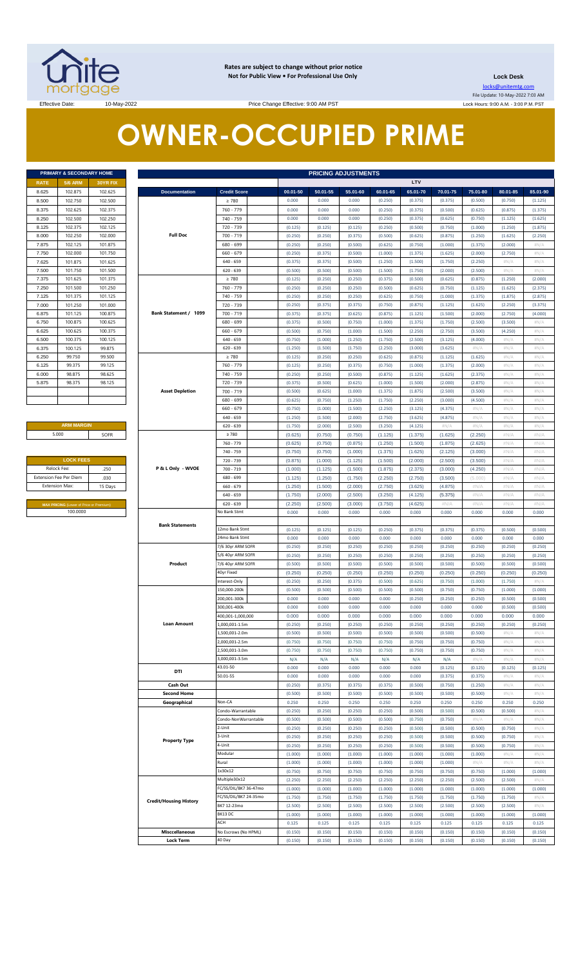

**Rates are subject to change without prior notice Not for Public View • For Professional Use Only** 

**Lock Desk** locks@unitemtg.com

File Update: 10-May-2022 7:03 AM Lock Hours: 9:00 A.M. - 3:00 P.M. PST

Effective Date: 10-May-2022 10-May-2022 Price Change Effective: 9:00 AM PST

# **OWNER-OCCUPIED PRIME**

| PRIMARY & SECONDARY HOME |                |          |  |  |  |  |  |  |
|--------------------------|----------------|----------|--|--|--|--|--|--|
| <b>RATE</b>              | <b>5/6 ARM</b> | 30YR FIX |  |  |  |  |  |  |
| 8.625                    | 102.875        | 102.625  |  |  |  |  |  |  |
| 8.500                    | 102.750        | 102.500  |  |  |  |  |  |  |
| 8.375                    | 102.625        | 102.375  |  |  |  |  |  |  |
| 8.250                    | 102.500        | 102.250  |  |  |  |  |  |  |
| 8.125                    | 102.375        | 102.125  |  |  |  |  |  |  |
| 8.000                    | 102.250        | 102.000  |  |  |  |  |  |  |
| 7.875                    | 102.125        | 101.875  |  |  |  |  |  |  |
| 7.750                    | 102.000        | 101.750  |  |  |  |  |  |  |
| 7.625                    | 101.875        | 101.625  |  |  |  |  |  |  |
| 7.500                    | 101.750        | 101.500  |  |  |  |  |  |  |
| 7.375                    | 101.625        | 101.375  |  |  |  |  |  |  |
| 7.250                    | 101.500        | 101.250  |  |  |  |  |  |  |
| 7.125                    | 101.375        | 101.125  |  |  |  |  |  |  |
| 7.000                    | 101.250        | 101.000  |  |  |  |  |  |  |
| 6.875                    | 101.125        | 100.875  |  |  |  |  |  |  |
| 6.750                    | 100.875        | 100.625  |  |  |  |  |  |  |
| 6.625                    | 100.625        | 100 375  |  |  |  |  |  |  |
| 6.500                    | 100 375        | 100.125  |  |  |  |  |  |  |
| 6.375                    | 100.125        | 99.875   |  |  |  |  |  |  |
| 6.250                    | 99.750         | 99.500   |  |  |  |  |  |  |
| 6.125                    | 99.375         | 99.125   |  |  |  |  |  |  |
| 6.000                    | 98.875         | 98.625   |  |  |  |  |  |  |
| 5.875                    | 98.375         | 98.125   |  |  |  |  |  |  |
|                          |                |          |  |  |  |  |  |  |
|                          |                |          |  |  |  |  |  |  |

**ARM MARGIN** 5.000

| <b>LOCK FEES</b>              |         |  |  |  |  |  |
|-------------------------------|---------|--|--|--|--|--|
| Relock Fee:                   | .250    |  |  |  |  |  |
| <b>Extension Fee Per Diem</b> | .030    |  |  |  |  |  |
| <b>Extension Max:</b>         | 15 Days |  |  |  |  |  |

|             | PRIMARY & SECONDARY HOME                |          | <b>PRICING ADJUSTMENTS</b>                |                                                                                                                                                                                                                                                                                                                                    |                                                                                                                                                                                                                                                                                                                                                                                                                                                                                                                                                                                                                                                                                                                                                                                                                                                                                                                                                                                                                                                                                                                                                                                                                                                                                                                                                                                                                                                                                                                                                                                                                                                                                                                                                                                                                                                                                                                                                                                                                                                                                                                                                                                                                                                                                                                                                                                                                                                                                                                                                                                                                                                                                                                                                                                                                                                                                                                                                                                                                                                                                                                                                                                                                                                                                                                                                                                                                                                                                                                                                                                                                                                                                                                                                                                                                                      |                    |                    |                    |                    |                                                                                                                                                                                                                                                                                                                                                                                                                                                                                                                       |                    |                    |                                                                                                                                                                                                                                               |
|-------------|-----------------------------------------|----------|-------------------------------------------|------------------------------------------------------------------------------------------------------------------------------------------------------------------------------------------------------------------------------------------------------------------------------------------------------------------------------------|--------------------------------------------------------------------------------------------------------------------------------------------------------------------------------------------------------------------------------------------------------------------------------------------------------------------------------------------------------------------------------------------------------------------------------------------------------------------------------------------------------------------------------------------------------------------------------------------------------------------------------------------------------------------------------------------------------------------------------------------------------------------------------------------------------------------------------------------------------------------------------------------------------------------------------------------------------------------------------------------------------------------------------------------------------------------------------------------------------------------------------------------------------------------------------------------------------------------------------------------------------------------------------------------------------------------------------------------------------------------------------------------------------------------------------------------------------------------------------------------------------------------------------------------------------------------------------------------------------------------------------------------------------------------------------------------------------------------------------------------------------------------------------------------------------------------------------------------------------------------------------------------------------------------------------------------------------------------------------------------------------------------------------------------------------------------------------------------------------------------------------------------------------------------------------------------------------------------------------------------------------------------------------------------------------------------------------------------------------------------------------------------------------------------------------------------------------------------------------------------------------------------------------------------------------------------------------------------------------------------------------------------------------------------------------------------------------------------------------------------------------------------------------------------------------------------------------------------------------------------------------------------------------------------------------------------------------------------------------------------------------------------------------------------------------------------------------------------------------------------------------------------------------------------------------------------------------------------------------------------------------------------------------------------------------------------------------------------------------------------------------------------------------------------------------------------------------------------------------------------------------------------------------------------------------------------------------------------------------------------------------------------------------------------------------------------------------------------------------------------------------------------------------------------------------------------------------------|--------------------|--------------------|--------------------|--------------------|-----------------------------------------------------------------------------------------------------------------------------------------------------------------------------------------------------------------------------------------------------------------------------------------------------------------------------------------------------------------------------------------------------------------------------------------------------------------------------------------------------------------------|--------------------|--------------------|-----------------------------------------------------------------------------------------------------------------------------------------------------------------------------------------------------------------------------------------------|
| RATE        | <b>5/6 ARM</b>                          | 30YR FIX |                                           |                                                                                                                                                                                                                                                                                                                                    |                                                                                                                                                                                                                                                                                                                                                                                                                                                                                                                                                                                                                                                                                                                                                                                                                                                                                                                                                                                                                                                                                                                                                                                                                                                                                                                                                                                                                                                                                                                                                                                                                                                                                                                                                                                                                                                                                                                                                                                                                                                                                                                                                                                                                                                                                                                                                                                                                                                                                                                                                                                                                                                                                                                                                                                                                                                                                                                                                                                                                                                                                                                                                                                                                                                                                                                                                                                                                                                                                                                                                                                                                                                                                                                                                                                                                                      |                    |                    |                    | LTV                |                                                                                                                                                                                                                                                                                                                                                                                                                                                                                                                       |                    |                    |                                                                                                                                                                                                                                               |
| 8.625       | 102.875                                 | 102.625  | <b>Documentation</b>                      | <b>Credit Score</b>                                                                                                                                                                                                                                                                                                                | 00.01-50                                                                                                                                                                                                                                                                                                                                                                                                                                                                                                                                                                                                                                                                                                                                                                                                                                                                                                                                                                                                                                                                                                                                                                                                                                                                                                                                                                                                                                                                                                                                                                                                                                                                                                                                                                                                                                                                                                                                                                                                                                                                                                                                                                                                                                                                                                                                                                                                                                                                                                                                                                                                                                                                                                                                                                                                                                                                                                                                                                                                                                                                                                                                                                                                                                                                                                                                                                                                                                                                                                                                                                                                                                                                                                                                                                                                                             | 50.01-55           | 55.01-60           | 60.01-65           | 65.01-70           | 70.01-75                                                                                                                                                                                                                                                                                                                                                                                                                                                                                                              | 75.01-80           | 80.01-85           | 85.01-90                                                                                                                                                                                                                                      |
| 8.500       | 102.750                                 | 102.500  |                                           | $\geq 780$                                                                                                                                                                                                                                                                                                                         | 0.000                                                                                                                                                                                                                                                                                                                                                                                                                                                                                                                                                                                                                                                                                                                                                                                                                                                                                                                                                                                                                                                                                                                                                                                                                                                                                                                                                                                                                                                                                                                                                                                                                                                                                                                                                                                                                                                                                                                                                                                                                                                                                                                                                                                                                                                                                                                                                                                                                                                                                                                                                                                                                                                                                                                                                                                                                                                                                                                                                                                                                                                                                                                                                                                                                                                                                                                                                                                                                                                                                                                                                                                                                                                                                                                                                                                                                                | 0.000              | 0.000              | (0.250)            | (0.375)            | (0.375)                                                                                                                                                                                                                                                                                                                                                                                                                                                                                                               | (0.500)            | (0.750)            |                                                                                                                                                                                                                                               |
| 8.375       | 102.625                                 | 102.375  |                                           | 760 - 779                                                                                                                                                                                                                                                                                                                          | 0.000                                                                                                                                                                                                                                                                                                                                                                                                                                                                                                                                                                                                                                                                                                                                                                                                                                                                                                                                                                                                                                                                                                                                                                                                                                                                                                                                                                                                                                                                                                                                                                                                                                                                                                                                                                                                                                                                                                                                                                                                                                                                                                                                                                                                                                                                                                                                                                                                                                                                                                                                                                                                                                                                                                                                                                                                                                                                                                                                                                                                                                                                                                                                                                                                                                                                                                                                                                                                                                                                                                                                                                                                                                                                                                                                                                                                                                | 0.000              | 0.000              | (0.250)            | (0.375)            | (0.500)                                                                                                                                                                                                                                                                                                                                                                                                                                                                                                               | (0.625)            | (0.875)            |                                                                                                                                                                                                                                               |
| 8.250       | 102.500                                 | 102.250  |                                           | $740 - 759$                                                                                                                                                                                                                                                                                                                        |                                                                                                                                                                                                                                                                                                                                                                                                                                                                                                                                                                                                                                                                                                                                                                                                                                                                                                                                                                                                                                                                                                                                                                                                                                                                                                                                                                                                                                                                                                                                                                                                                                                                                                                                                                                                                                                                                                                                                                                                                                                                                                                                                                                                                                                                                                                                                                                                                                                                                                                                                                                                                                                                                                                                                                                                                                                                                                                                                                                                                                                                                                                                                                                                                                                                                                                                                                                                                                                                                                                                                                                                                                                                                                                                                                                                                                      |                    |                    |                    |                    |                                                                                                                                                                                                                                                                                                                                                                                                                                                                                                                       |                    |                    |                                                                                                                                                                                                                                               |
|             |                                         |          |                                           |                                                                                                                                                                                                                                                                                                                                    | 0.000                                                                                                                                                                                                                                                                                                                                                                                                                                                                                                                                                                                                                                                                                                                                                                                                                                                                                                                                                                                                                                                                                                                                                                                                                                                                                                                                                                                                                                                                                                                                                                                                                                                                                                                                                                                                                                                                                                                                                                                                                                                                                                                                                                                                                                                                                                                                                                                                                                                                                                                                                                                                                                                                                                                                                                                                                                                                                                                                                                                                                                                                                                                                                                                                                                                                                                                                                                                                                                                                                                                                                                                                                                                                                                                                                                                                                                | 0.000              | 0.000              | (0.250)            | (0.375)            | (0.625)                                                                                                                                                                                                                                                                                                                                                                                                                                                                                                               | (0.750)            | (1.125)            |                                                                                                                                                                                                                                               |
| 8.125       | 102.375                                 | 102.125  |                                           | 720 - 739                                                                                                                                                                                                                                                                                                                          |                                                                                                                                                                                                                                                                                                                                                                                                                                                                                                                                                                                                                                                                                                                                                                                                                                                                                                                                                                                                                                                                                                                                                                                                                                                                                                                                                                                                                                                                                                                                                                                                                                                                                                                                                                                                                                                                                                                                                                                                                                                                                                                                                                                                                                                                                                                                                                                                                                                                                                                                                                                                                                                                                                                                                                                                                                                                                                                                                                                                                                                                                                                                                                                                                                                                                                                                                                                                                                                                                                                                                                                                                                                                                                                                                                                                                                      |                    |                    |                    |                    |                                                                                                                                                                                                                                                                                                                                                                                                                                                                                                                       |                    |                    |                                                                                                                                                                                                                                               |
| 8.000       | 102.250                                 | 102.000  | <b>Full Doc</b>                           | 700 - 719                                                                                                                                                                                                                                                                                                                          |                                                                                                                                                                                                                                                                                                                                                                                                                                                                                                                                                                                                                                                                                                                                                                                                                                                                                                                                                                                                                                                                                                                                                                                                                                                                                                                                                                                                                                                                                                                                                                                                                                                                                                                                                                                                                                                                                                                                                                                                                                                                                                                                                                                                                                                                                                                                                                                                                                                                                                                                                                                                                                                                                                                                                                                                                                                                                                                                                                                                                                                                                                                                                                                                                                                                                                                                                                                                                                                                                                                                                                                                                                                                                                                                                                                                                                      |                    |                    |                    |                    |                                                                                                                                                                                                                                                                                                                                                                                                                                                                                                                       |                    |                    |                                                                                                                                                                                                                                               |
| 7.875       | 102.125                                 | 101.875  |                                           | 680 - 699                                                                                                                                                                                                                                                                                                                          | (0.250)                                                                                                                                                                                                                                                                                                                                                                                                                                                                                                                                                                                                                                                                                                                                                                                                                                                                                                                                                                                                                                                                                                                                                                                                                                                                                                                                                                                                                                                                                                                                                                                                                                                                                                                                                                                                                                                                                                                                                                                                                                                                                                                                                                                                                                                                                                                                                                                                                                                                                                                                                                                                                                                                                                                                                                                                                                                                                                                                                                                                                                                                                                                                                                                                                                                                                                                                                                                                                                                                                                                                                                                                                                                                                                                                                                                                                              | (0.250)            | (0.500)            | (0.625)            | (0.750)            | (1.000)                                                                                                                                                                                                                                                                                                                                                                                                                                                                                                               | (1.375)            | (2.000)            | H N/A                                                                                                                                                                                                                                         |
| 7.750       | 102.000                                 | 101.750  |                                           | $660 - 679$                                                                                                                                                                                                                                                                                                                        | (0.250)                                                                                                                                                                                                                                                                                                                                                                                                                                                                                                                                                                                                                                                                                                                                                                                                                                                                                                                                                                                                                                                                                                                                                                                                                                                                                                                                                                                                                                                                                                                                                                                                                                                                                                                                                                                                                                                                                                                                                                                                                                                                                                                                                                                                                                                                                                                                                                                                                                                                                                                                                                                                                                                                                                                                                                                                                                                                                                                                                                                                                                                                                                                                                                                                                                                                                                                                                                                                                                                                                                                                                                                                                                                                                                                                                                                                                              | (0.375)            | (0.500)            | (1.000)            | (1.375)            | (1.625)                                                                                                                                                                                                                                                                                                                                                                                                                                                                                                               | (2.000)            | (2.750)            | H N/A                                                                                                                                                                                                                                         |
| 7.625       | 101.875                                 | 101.625  |                                           | $640 - 659$                                                                                                                                                                                                                                                                                                                        | (0.375)                                                                                                                                                                                                                                                                                                                                                                                                                                                                                                                                                                                                                                                                                                                                                                                                                                                                                                                                                                                                                                                                                                                                                                                                                                                                                                                                                                                                                                                                                                                                                                                                                                                                                                                                                                                                                                                                                                                                                                                                                                                                                                                                                                                                                                                                                                                                                                                                                                                                                                                                                                                                                                                                                                                                                                                                                                                                                                                                                                                                                                                                                                                                                                                                                                                                                                                                                                                                                                                                                                                                                                                                                                                                                                                                                                                                                              | (0.375)            | (0.500)            | (1.250)            | (1.500)            | (1.750)                                                                                                                                                                                                                                                                                                                                                                                                                                                                                                               | (2.250)            | #N/A               | H N/A                                                                                                                                                                                                                                         |
| 7.500       | 101.750                                 | 101.500  |                                           | $620 - 639$                                                                                                                                                                                                                                                                                                                        |                                                                                                                                                                                                                                                                                                                                                                                                                                                                                                                                                                                                                                                                                                                                                                                                                                                                                                                                                                                                                                                                                                                                                                                                                                                                                                                                                                                                                                                                                                                                                                                                                                                                                                                                                                                                                                                                                                                                                                                                                                                                                                                                                                                                                                                                                                                                                                                                                                                                                                                                                                                                                                                                                                                                                                                                                                                                                                                                                                                                                                                                                                                                                                                                                                                                                                                                                                                                                                                                                                                                                                                                                                                                                                                                                                                                                                      |                    |                    |                    |                    |                                                                                                                                                                                                                                                                                                                                                                                                                                                                                                                       |                    | #N/A               |                                                                                                                                                                                                                                               |
| 7.375       | 101.625                                 | 101.375  |                                           | $\geq 780$                                                                                                                                                                                                                                                                                                                         |                                                                                                                                                                                                                                                                                                                                                                                                                                                                                                                                                                                                                                                                                                                                                                                                                                                                                                                                                                                                                                                                                                                                                                                                                                                                                                                                                                                                                                                                                                                                                                                                                                                                                                                                                                                                                                                                                                                                                                                                                                                                                                                                                                                                                                                                                                                                                                                                                                                                                                                                                                                                                                                                                                                                                                                                                                                                                                                                                                                                                                                                                                                                                                                                                                                                                                                                                                                                                                                                                                                                                                                                                                                                                                                                                                                                                                      |                    |                    |                    |                    |                                                                                                                                                                                                                                                                                                                                                                                                                                                                                                                       |                    |                    |                                                                                                                                                                                                                                               |
| 7.250       | 101.500                                 | 101.250  |                                           | 760 - 779                                                                                                                                                                                                                                                                                                                          |                                                                                                                                                                                                                                                                                                                                                                                                                                                                                                                                                                                                                                                                                                                                                                                                                                                                                                                                                                                                                                                                                                                                                                                                                                                                                                                                                                                                                                                                                                                                                                                                                                                                                                                                                                                                                                                                                                                                                                                                                                                                                                                                                                                                                                                                                                                                                                                                                                                                                                                                                                                                                                                                                                                                                                                                                                                                                                                                                                                                                                                                                                                                                                                                                                                                                                                                                                                                                                                                                                                                                                                                                                                                                                                                                                                                                                      |                    |                    |                    |                    |                                                                                                                                                                                                                                                                                                                                                                                                                                                                                                                       |                    |                    |                                                                                                                                                                                                                                               |
|             |                                         |          |                                           |                                                                                                                                                                                                                                                                                                                                    |                                                                                                                                                                                                                                                                                                                                                                                                                                                                                                                                                                                                                                                                                                                                                                                                                                                                                                                                                                                                                                                                                                                                                                                                                                                                                                                                                                                                                                                                                                                                                                                                                                                                                                                                                                                                                                                                                                                                                                                                                                                                                                                                                                                                                                                                                                                                                                                                                                                                                                                                                                                                                                                                                                                                                                                                                                                                                                                                                                                                                                                                                                                                                                                                                                                                                                                                                                                                                                                                                                                                                                                                                                                                                                                                                                                                                                      |                    |                    |                    |                    |                                                                                                                                                                                                                                                                                                                                                                                                                                                                                                                       |                    |                    |                                                                                                                                                                                                                                               |
| 7.125       | 101.375                                 | 101.125  |                                           | 740 - 759                                                                                                                                                                                                                                                                                                                          |                                                                                                                                                                                                                                                                                                                                                                                                                                                                                                                                                                                                                                                                                                                                                                                                                                                                                                                                                                                                                                                                                                                                                                                                                                                                                                                                                                                                                                                                                                                                                                                                                                                                                                                                                                                                                                                                                                                                                                                                                                                                                                                                                                                                                                                                                                                                                                                                                                                                                                                                                                                                                                                                                                                                                                                                                                                                                                                                                                                                                                                                                                                                                                                                                                                                                                                                                                                                                                                                                                                                                                                                                                                                                                                                                                                                                                      |                    |                    |                    |                    |                                                                                                                                                                                                                                                                                                                                                                                                                                                                                                                       |                    |                    |                                                                                                                                                                                                                                               |
| 7.000       | 101.250                                 | 101.000  |                                           | 720 - 739                                                                                                                                                                                                                                                                                                                          |                                                                                                                                                                                                                                                                                                                                                                                                                                                                                                                                                                                                                                                                                                                                                                                                                                                                                                                                                                                                                                                                                                                                                                                                                                                                                                                                                                                                                                                                                                                                                                                                                                                                                                                                                                                                                                                                                                                                                                                                                                                                                                                                                                                                                                                                                                                                                                                                                                                                                                                                                                                                                                                                                                                                                                                                                                                                                                                                                                                                                                                                                                                                                                                                                                                                                                                                                                                                                                                                                                                                                                                                                                                                                                                                                                                                                                      |                    |                    |                    |                    |                                                                                                                                                                                                                                                                                                                                                                                                                                                                                                                       |                    |                    |                                                                                                                                                                                                                                               |
| 6.875       | 101.125                                 | 100.875  | Bank Statement / 1099                     | 700 - 719                                                                                                                                                                                                                                                                                                                          | (0.375)                                                                                                                                                                                                                                                                                                                                                                                                                                                                                                                                                                                                                                                                                                                                                                                                                                                                                                                                                                                                                                                                                                                                                                                                                                                                                                                                                                                                                                                                                                                                                                                                                                                                                                                                                                                                                                                                                                                                                                                                                                                                                                                                                                                                                                                                                                                                                                                                                                                                                                                                                                                                                                                                                                                                                                                                                                                                                                                                                                                                                                                                                                                                                                                                                                                                                                                                                                                                                                                                                                                                                                                                                                                                                                                                                                                                                              | (0.375)            | (0.625)            | (0.875)            |                    | (1.500)                                                                                                                                                                                                                                                                                                                                                                                                                                                                                                               | (2.000)            | (2.750)            | (4.000)                                                                                                                                                                                                                                       |
| 6.750       | 100.875                                 | 100.625  |                                           | 680 - 699                                                                                                                                                                                                                                                                                                                          | (0.375)                                                                                                                                                                                                                                                                                                                                                                                                                                                                                                                                                                                                                                                                                                                                                                                                                                                                                                                                                                                                                                                                                                                                                                                                                                                                                                                                                                                                                                                                                                                                                                                                                                                                                                                                                                                                                                                                                                                                                                                                                                                                                                                                                                                                                                                                                                                                                                                                                                                                                                                                                                                                                                                                                                                                                                                                                                                                                                                                                                                                                                                                                                                                                                                                                                                                                                                                                                                                                                                                                                                                                                                                                                                                                                                                                                                                                              | (0.500)            | (0.750)            | (1.000)            | (1.375)            | (1.750)                                                                                                                                                                                                                                                                                                                                                                                                                                                                                                               | (2.500)            | (3.500)            | H N/A                                                                                                                                                                                                                                         |
| 6.625       | 100.625                                 | 100.375  |                                           | $660 - 679$                                                                                                                                                                                                                                                                                                                        | (0.500)                                                                                                                                                                                                                                                                                                                                                                                                                                                                                                                                                                                                                                                                                                                                                                                                                                                                                                                                                                                                                                                                                                                                                                                                                                                                                                                                                                                                                                                                                                                                                                                                                                                                                                                                                                                                                                                                                                                                                                                                                                                                                                                                                                                                                                                                                                                                                                                                                                                                                                                                                                                                                                                                                                                                                                                                                                                                                                                                                                                                                                                                                                                                                                                                                                                                                                                                                                                                                                                                                                                                                                                                                                                                                                                                                                                                                              | (0.750)            | (1.000)            | (1.500)            | (2.250)            | (2.750)                                                                                                                                                                                                                                                                                                                                                                                                                                                                                                               | (3.500)            | (4.250)            | #N/A                                                                                                                                                                                                                                          |
| 6.500       | 100.375                                 | 100.125  |                                           | $640 - 659$                                                                                                                                                                                                                                                                                                                        | (0.750)                                                                                                                                                                                                                                                                                                                                                                                                                                                                                                                                                                                                                                                                                                                                                                                                                                                                                                                                                                                                                                                                                                                                                                                                                                                                                                                                                                                                                                                                                                                                                                                                                                                                                                                                                                                                                                                                                                                                                                                                                                                                                                                                                                                                                                                                                                                                                                                                                                                                                                                                                                                                                                                                                                                                                                                                                                                                                                                                                                                                                                                                                                                                                                                                                                                                                                                                                                                                                                                                                                                                                                                                                                                                                                                                                                                                                              | (1.000)            | (1.250)            |                    | (2.500)            | (3.125)                                                                                                                                                                                                                                                                                                                                                                                                                                                                                                               | (4.000)            | #N/A               | H N/A                                                                                                                                                                                                                                         |
| 6.375       | 100.125                                 | 99.875   |                                           |                                                                                                                                                                                                                                                                                                                                    |                                                                                                                                                                                                                                                                                                                                                                                                                                                                                                                                                                                                                                                                                                                                                                                                                                                                                                                                                                                                                                                                                                                                                                                                                                                                                                                                                                                                                                                                                                                                                                                                                                                                                                                                                                                                                                                                                                                                                                                                                                                                                                                                                                                                                                                                                                                                                                                                                                                                                                                                                                                                                                                                                                                                                                                                                                                                                                                                                                                                                                                                                                                                                                                                                                                                                                                                                                                                                                                                                                                                                                                                                                                                                                                                                                                                                                      |                    |                    |                    |                    |                                                                                                                                                                                                                                                                                                                                                                                                                                                                                                                       | H N/A              | #N/A               |                                                                                                                                                                                                                                               |
| 6.250       | 99.750                                  | 99.500   |                                           |                                                                                                                                                                                                                                                                                                                                    |                                                                                                                                                                                                                                                                                                                                                                                                                                                                                                                                                                                                                                                                                                                                                                                                                                                                                                                                                                                                                                                                                                                                                                                                                                                                                                                                                                                                                                                                                                                                                                                                                                                                                                                                                                                                                                                                                                                                                                                                                                                                                                                                                                                                                                                                                                                                                                                                                                                                                                                                                                                                                                                                                                                                                                                                                                                                                                                                                                                                                                                                                                                                                                                                                                                                                                                                                                                                                                                                                                                                                                                                                                                                                                                                                                                                                                      |                    |                    |                    |                    |                                                                                                                                                                                                                                                                                                                                                                                                                                                                                                                       |                    |                    |                                                                                                                                                                                                                                               |
|             | 99.375                                  | 99.125   |                                           |                                                                                                                                                                                                                                                                                                                                    |                                                                                                                                                                                                                                                                                                                                                                                                                                                                                                                                                                                                                                                                                                                                                                                                                                                                                                                                                                                                                                                                                                                                                                                                                                                                                                                                                                                                                                                                                                                                                                                                                                                                                                                                                                                                                                                                                                                                                                                                                                                                                                                                                                                                                                                                                                                                                                                                                                                                                                                                                                                                                                                                                                                                                                                                                                                                                                                                                                                                                                                                                                                                                                                                                                                                                                                                                                                                                                                                                                                                                                                                                                                                                                                                                                                                                                      |                    |                    |                    |                    |                                                                                                                                                                                                                                                                                                                                                                                                                                                                                                                       |                    |                    |                                                                                                                                                                                                                                               |
| 6.125       |                                         |          |                                           |                                                                                                                                                                                                                                                                                                                                    |                                                                                                                                                                                                                                                                                                                                                                                                                                                                                                                                                                                                                                                                                                                                                                                                                                                                                                                                                                                                                                                                                                                                                                                                                                                                                                                                                                                                                                                                                                                                                                                                                                                                                                                                                                                                                                                                                                                                                                                                                                                                                                                                                                                                                                                                                                                                                                                                                                                                                                                                                                                                                                                                                                                                                                                                                                                                                                                                                                                                                                                                                                                                                                                                                                                                                                                                                                                                                                                                                                                                                                                                                                                                                                                                                                                                                                      |                    |                    |                    |                    |                                                                                                                                                                                                                                                                                                                                                                                                                                                                                                                       |                    |                    |                                                                                                                                                                                                                                               |
| 6.000       | 98.875                                  | 98.625   |                                           |                                                                                                                                                                                                                                                                                                                                    | (0.125)<br>(0.125)<br>(0.125)<br>(0.250)<br>(0.500)<br>(0.750)<br>(1.000)<br>(1.250)<br>(0.250)<br>(0.250)<br>(0.375)<br>(0.500)<br>(0.625)<br>(0.875)<br>(1.250)<br>(1.625)<br>(0.500)<br>(0.500)<br>(0.500)<br>(1.500)<br>(1.750)<br>(2.000)<br>(2.500)<br>(0.125)<br>(0.250)<br>(0.250)<br>(0.375)<br>(0.875)<br>(1.250)<br>(0.500)<br>(0.625)<br>(0.250)<br>(0.250)<br>(0.500)<br>(0.625)<br>(0.750)<br>(1.125)<br>(0.250)<br>(1.625)<br>(0.250)<br>(0.250)<br>(1.000)<br>(1.375)<br>(1.875)<br>(0.250)<br>(0.625)<br>(0.750)<br>(0.250)<br>(0.375)<br>(0.375)<br>(0.750)<br>(0.875)<br>(1.125)<br>(1.625)<br>(2.250)<br>(1.125)<br>(1.750)<br>(1.250)<br>(1.500)<br>(1.750)<br>(2.250)<br>(3.000)<br>(3.625)<br>(0.125)<br>(0.250)<br>(0.250)<br>(0.625)<br>(0.875)<br>(1.125)<br>(1.625)<br>$\#N/A$<br>(0.125)<br>(0.250)<br>(0.375)<br>(0.750)<br>(1.000)<br>(1.375)<br>(2.000)<br>#N/A<br>(0.250)<br>(0.250)<br>(0.500)<br>(0.875)<br>(1.125)<br>(1.625)<br>(2.375)<br>#N/A<br>(0.375)<br>(0.500)<br>(0.625)<br>(1.000)<br>(1.500)<br>(2.000)<br>(2.875)<br>#N/A<br>(0.500)<br>(0.625)<br>(1.000)<br>(1.375)<br>(1.875)<br>(2.500)<br>(3.500)<br>#N/A<br>(0.625)<br>(0.750)<br>(1.250)<br>(1.750)<br>(2.250)<br>(3.000)<br>(4.500)<br>#N/A<br>(0.750)<br>(1.000)<br>(1.500)<br>(2.250)<br>(3.125)<br>(4.375)<br>$\#N/A$<br>#N/A<br>(1.250)<br>(1.500)<br>(2.000)<br>(2.750)<br>(3.625)<br>(4.875)<br>H N/A<br>#N/A<br>(1.750)<br>(2.000)<br>(2.500)<br>(3.250)<br>(4.125)<br>$\#N/A$<br>H N/A<br>#N/A<br>(0.750)<br>(1.125)<br>(0.625)<br>(0.750)<br>(1.375)<br>(1.625)<br>(2.250)<br>#N/A<br>(0.750)<br>(1.250)<br>(1.875)<br>(0.625)<br>(0.875)<br>(1.500)<br>(2.625)<br>#N/A<br>(0.750)<br>(0.750)<br>(1.375)<br>(3.000)<br>(1.000)<br>(1.625)<br>(2.125)<br>$\#N/A$<br>(0.875)<br>(1.000)<br>(1.125)<br>(1.500)<br>(2.000)<br>(2.500)<br>(3.500)<br>#N/A<br>(1.000)<br>(1.125)<br>(1.875)<br>(2.375)<br>(3.000)<br>(4.250)<br>(1.500)<br>#N/A<br>(1.125)<br>(1.250)<br>(1.750)<br>(2.250)<br>(2.750)<br>(3.500)<br>(5.000)<br>#N/A<br>(1.250)<br>(1.500)<br>(2.750)<br>(3.625)<br>(4.875)<br>(2.000)<br>#N/A<br>$\#N/A$<br>(1.750)<br>(2.000)<br>(2.500)<br>(3.250)<br>(4.125)<br>(5.375)<br>#N/A<br>#N/A<br>(2.250)<br>(2.500)<br>(3.750)<br>(4.625)<br>(3.000)<br>#N/A<br>#N/A<br>#N/A<br>0.000<br>0.000<br>0.000<br>0.000<br>0.000<br>0.000<br>0.000<br>0.000<br>(0.125)<br>(0.125)<br>(0.375)<br>(0.375)<br>(0.125)<br>(0.250)<br>(0.375)<br>(0.500)<br>0.000<br>0.000<br>0.000<br>0.000<br>0.000<br>0.000<br>0.000<br>0.000<br>(0.250)<br>(0.250)<br>(0.250)<br>(0.250)<br>(0.250)<br>(0.250)<br>(0.250)<br>(0.250)<br>(0.250)<br>(0.250)<br>(0.250)<br>(0.250)<br>(0.250)<br>(0.250)<br>(0.250)<br>(0.250)<br>(0.500)<br>(0.500)<br>(0.500)<br>(0.500)<br>(0.500)<br>(0.500)<br>(0.500)<br>(0.500)<br>(0.250)<br>(0.250)<br>(0.250)<br>(0.250)<br>(0.250)<br>(0.250)<br>(0.250)<br>(0.250)<br>(0.250)<br>(0.250)<br>(0.500)<br>(0.625)<br>(0.750)<br>(1.000)<br>(0.375)<br>(1.750)<br>(0.500)<br>(0.500)<br>(0.500)<br>(0.500)<br>(0.750)<br>(0.750)<br>(1.000)<br>(0.500)<br>0.000<br>0.000<br>0.000<br>(0.250)<br>(0.250)<br>0.000<br>(0.250)<br>(0.500)<br>0.000<br>0.000<br>0.000<br>0.000<br>0.000<br>0.000<br>0.000<br>(0.500)<br>0.000<br>0.000<br>0.000<br>0.000<br>0.000<br>0.000<br>0.000<br>0.000<br>(0.250)<br>(0.250)<br>(0.250)<br>(0.250)<br>(0.250)<br>(0.250)<br>(0.250)<br>(0.250)<br>(0.500)<br>(0.500)<br>(0.500)<br>(0.500)<br>(0.500)<br>(0.500)<br>(0.500)<br>$\#N/A$<br>(0.750)<br>(0.750)<br>(0.750)<br>(0.750)<br>(0.750)<br>(0.750)<br>(0.750)<br>#N/A<br>(0.750)<br>(0.750)<br>(0.750)<br>(0.750)<br>(0.750)<br>(0.750)<br>(0.750)<br>$\#N/A$<br>N/A<br>N/A<br>N/A<br>N/A<br>N/A<br>N/A<br>#N/A<br>H N/A<br>0.000<br>0.000<br>0.000<br>0.000<br>(0.125)<br>0.000<br>(0.125)<br>(0.125) |                    |                    |                    |                    |                                                                                                                                                                                                                                                                                                                                                                                                                                                                                                                       |                    |                    |                                                                                                                                                                                                                                               |
| 5.875       | 98.375                                  | 98.125   |                                           | $620 - 639$<br>$\geq 780$<br>760 - 779<br>740 - 759<br>720 - 739<br><b>Asset Depletion</b><br>700 - 719<br>680 - 699<br>$660 - 679$<br>$640 - 659$<br>$620 - 639$<br>$\geq 780$<br>760 - 779<br>740 - 759<br>720 - 739<br>P & L Only - WVOE<br>700 - 719<br>680 - 699<br>$660 - 679$<br>$640 - 659$<br>$620 - 639$<br>No Bank Stmt |                                                                                                                                                                                                                                                                                                                                                                                                                                                                                                                                                                                                                                                                                                                                                                                                                                                                                                                                                                                                                                                                                                                                                                                                                                                                                                                                                                                                                                                                                                                                                                                                                                                                                                                                                                                                                                                                                                                                                                                                                                                                                                                                                                                                                                                                                                                                                                                                                                                                                                                                                                                                                                                                                                                                                                                                                                                                                                                                                                                                                                                                                                                                                                                                                                                                                                                                                                                                                                                                                                                                                                                                                                                                                                                                                                                                                                      |                    |                    | #N/A               |                    |                                                                                                                                                                                                                                                                                                                                                                                                                                                                                                                       |                    |                    |                                                                                                                                                                                                                                               |
|             |                                         |          |                                           |                                                                                                                                                                                                                                                                                                                                    |                                                                                                                                                                                                                                                                                                                                                                                                                                                                                                                                                                                                                                                                                                                                                                                                                                                                                                                                                                                                                                                                                                                                                                                                                                                                                                                                                                                                                                                                                                                                                                                                                                                                                                                                                                                                                                                                                                                                                                                                                                                                                                                                                                                                                                                                                                                                                                                                                                                                                                                                                                                                                                                                                                                                                                                                                                                                                                                                                                                                                                                                                                                                                                                                                                                                                                                                                                                                                                                                                                                                                                                                                                                                                                                                                                                                                                      |                    |                    |                    |                    |                                                                                                                                                                                                                                                                                                                                                                                                                                                                                                                       |                    |                    | H N/A                                                                                                                                                                                                                                         |
|             |                                         |          |                                           |                                                                                                                                                                                                                                                                                                                                    |                                                                                                                                                                                                                                                                                                                                                                                                                                                                                                                                                                                                                                                                                                                                                                                                                                                                                                                                                                                                                                                                                                                                                                                                                                                                                                                                                                                                                                                                                                                                                                                                                                                                                                                                                                                                                                                                                                                                                                                                                                                                                                                                                                                                                                                                                                                                                                                                                                                                                                                                                                                                                                                                                                                                                                                                                                                                                                                                                                                                                                                                                                                                                                                                                                                                                                                                                                                                                                                                                                                                                                                                                                                                                                                                                                                                                                      |                    |                    |                    |                    |                                                                                                                                                                                                                                                                                                                                                                                                                                                                                                                       |                    |                    | H N/A                                                                                                                                                                                                                                         |
|             |                                         |          |                                           |                                                                                                                                                                                                                                                                                                                                    |                                                                                                                                                                                                                                                                                                                                                                                                                                                                                                                                                                                                                                                                                                                                                                                                                                                                                                                                                                                                                                                                                                                                                                                                                                                                                                                                                                                                                                                                                                                                                                                                                                                                                                                                                                                                                                                                                                                                                                                                                                                                                                                                                                                                                                                                                                                                                                                                                                                                                                                                                                                                                                                                                                                                                                                                                                                                                                                                                                                                                                                                                                                                                                                                                                                                                                                                                                                                                                                                                                                                                                                                                                                                                                                                                                                                                                      |                    |                    |                    |                    |                                                                                                                                                                                                                                                                                                                                                                                                                                                                                                                       |                    |                    | H N/A                                                                                                                                                                                                                                         |
|             |                                         |          |                                           |                                                                                                                                                                                                                                                                                                                                    |                                                                                                                                                                                                                                                                                                                                                                                                                                                                                                                                                                                                                                                                                                                                                                                                                                                                                                                                                                                                                                                                                                                                                                                                                                                                                                                                                                                                                                                                                                                                                                                                                                                                                                                                                                                                                                                                                                                                                                                                                                                                                                                                                                                                                                                                                                                                                                                                                                                                                                                                                                                                                                                                                                                                                                                                                                                                                                                                                                                                                                                                                                                                                                                                                                                                                                                                                                                                                                                                                                                                                                                                                                                                                                                                                                                                                                      |                    |                    |                    |                    |                                                                                                                                                                                                                                                                                                                                                                                                                                                                                                                       |                    |                    | #N/A                                                                                                                                                                                                                                          |
|             | <b>ARM MARGIN</b>                       |          |                                           |                                                                                                                                                                                                                                                                                                                                    |                                                                                                                                                                                                                                                                                                                                                                                                                                                                                                                                                                                                                                                                                                                                                                                                                                                                                                                                                                                                                                                                                                                                                                                                                                                                                                                                                                                                                                                                                                                                                                                                                                                                                                                                                                                                                                                                                                                                                                                                                                                                                                                                                                                                                                                                                                                                                                                                                                                                                                                                                                                                                                                                                                                                                                                                                                                                                                                                                                                                                                                                                                                                                                                                                                                                                                                                                                                                                                                                                                                                                                                                                                                                                                                                                                                                                                      |                    |                    |                    |                    |                                                                                                                                                                                                                                                                                                                                                                                                                                                                                                                       |                    |                    |                                                                                                                                                                                                                                               |
|             | 5.000                                   | SOFR     |                                           |                                                                                                                                                                                                                                                                                                                                    |                                                                                                                                                                                                                                                                                                                                                                                                                                                                                                                                                                                                                                                                                                                                                                                                                                                                                                                                                                                                                                                                                                                                                                                                                                                                                                                                                                                                                                                                                                                                                                                                                                                                                                                                                                                                                                                                                                                                                                                                                                                                                                                                                                                                                                                                                                                                                                                                                                                                                                                                                                                                                                                                                                                                                                                                                                                                                                                                                                                                                                                                                                                                                                                                                                                                                                                                                                                                                                                                                                                                                                                                                                                                                                                                                                                                                                      |                    |                    |                    |                    |                                                                                                                                                                                                                                                                                                                                                                                                                                                                                                                       |                    |                    |                                                                                                                                                                                                                                               |
|             |                                         |          |                                           |                                                                                                                                                                                                                                                                                                                                    |                                                                                                                                                                                                                                                                                                                                                                                                                                                                                                                                                                                                                                                                                                                                                                                                                                                                                                                                                                                                                                                                                                                                                                                                                                                                                                                                                                                                                                                                                                                                                                                                                                                                                                                                                                                                                                                                                                                                                                                                                                                                                                                                                                                                                                                                                                                                                                                                                                                                                                                                                                                                                                                                                                                                                                                                                                                                                                                                                                                                                                                                                                                                                                                                                                                                                                                                                                                                                                                                                                                                                                                                                                                                                                                                                                                                                                      |                    |                    |                    |                    |                                                                                                                                                                                                                                                                                                                                                                                                                                                                                                                       |                    |                    |                                                                                                                                                                                                                                               |
|             |                                         |          |                                           |                                                                                                                                                                                                                                                                                                                                    |                                                                                                                                                                                                                                                                                                                                                                                                                                                                                                                                                                                                                                                                                                                                                                                                                                                                                                                                                                                                                                                                                                                                                                                                                                                                                                                                                                                                                                                                                                                                                                                                                                                                                                                                                                                                                                                                                                                                                                                                                                                                                                                                                                                                                                                                                                                                                                                                                                                                                                                                                                                                                                                                                                                                                                                                                                                                                                                                                                                                                                                                                                                                                                                                                                                                                                                                                                                                                                                                                                                                                                                                                                                                                                                                                                                                                                      |                    |                    |                    |                    |                                                                                                                                                                                                                                                                                                                                                                                                                                                                                                                       |                    |                    |                                                                                                                                                                                                                                               |
|             |                                         |          |                                           |                                                                                                                                                                                                                                                                                                                                    |                                                                                                                                                                                                                                                                                                                                                                                                                                                                                                                                                                                                                                                                                                                                                                                                                                                                                                                                                                                                                                                                                                                                                                                                                                                                                                                                                                                                                                                                                                                                                                                                                                                                                                                                                                                                                                                                                                                                                                                                                                                                                                                                                                                                                                                                                                                                                                                                                                                                                                                                                                                                                                                                                                                                                                                                                                                                                                                                                                                                                                                                                                                                                                                                                                                                                                                                                                                                                                                                                                                                                                                                                                                                                                                                                                                                                                      |                    |                    |                    |                    |                                                                                                                                                                                                                                                                                                                                                                                                                                                                                                                       |                    |                    |                                                                                                                                                                                                                                               |
|             | <b>LOCK FEES</b>                        |          |                                           |                                                                                                                                                                                                                                                                                                                                    |                                                                                                                                                                                                                                                                                                                                                                                                                                                                                                                                                                                                                                                                                                                                                                                                                                                                                                                                                                                                                                                                                                                                                                                                                                                                                                                                                                                                                                                                                                                                                                                                                                                                                                                                                                                                                                                                                                                                                                                                                                                                                                                                                                                                                                                                                                                                                                                                                                                                                                                                                                                                                                                                                                                                                                                                                                                                                                                                                                                                                                                                                                                                                                                                                                                                                                                                                                                                                                                                                                                                                                                                                                                                                                                                                                                                                                      |                    |                    |                    |                    |                                                                                                                                                                                                                                                                                                                                                                                                                                                                                                                       |                    |                    |                                                                                                                                                                                                                                               |
| Relock Fee: |                                         | .250     |                                           |                                                                                                                                                                                                                                                                                                                                    |                                                                                                                                                                                                                                                                                                                                                                                                                                                                                                                                                                                                                                                                                                                                                                                                                                                                                                                                                                                                                                                                                                                                                                                                                                                                                                                                                                                                                                                                                                                                                                                                                                                                                                                                                                                                                                                                                                                                                                                                                                                                                                                                                                                                                                                                                                                                                                                                                                                                                                                                                                                                                                                                                                                                                                                                                                                                                                                                                                                                                                                                                                                                                                                                                                                                                                                                                                                                                                                                                                                                                                                                                                                                                                                                                                                                                                      |                    |                    |                    |                    |                                                                                                                                                                                                                                                                                                                                                                                                                                                                                                                       |                    |                    | #N/A                                                                                                                                                                                                                                          |
|             | xtension Fee Per Diem                   | .030     |                                           |                                                                                                                                                                                                                                                                                                                                    |                                                                                                                                                                                                                                                                                                                                                                                                                                                                                                                                                                                                                                                                                                                                                                                                                                                                                                                                                                                                                                                                                                                                                                                                                                                                                                                                                                                                                                                                                                                                                                                                                                                                                                                                                                                                                                                                                                                                                                                                                                                                                                                                                                                                                                                                                                                                                                                                                                                                                                                                                                                                                                                                                                                                                                                                                                                                                                                                                                                                                                                                                                                                                                                                                                                                                                                                                                                                                                                                                                                                                                                                                                                                                                                                                                                                                                      |                    |                    |                    |                    |                                                                                                                                                                                                                                                                                                                                                                                                                                                                                                                       |                    |                    | #N/A                                                                                                                                                                                                                                          |
|             | Extension Max:                          | 15 Days  |                                           |                                                                                                                                                                                                                                                                                                                                    |                                                                                                                                                                                                                                                                                                                                                                                                                                                                                                                                                                                                                                                                                                                                                                                                                                                                                                                                                                                                                                                                                                                                                                                                                                                                                                                                                                                                                                                                                                                                                                                                                                                                                                                                                                                                                                                                                                                                                                                                                                                                                                                                                                                                                                                                                                                                                                                                                                                                                                                                                                                                                                                                                                                                                                                                                                                                                                                                                                                                                                                                                                                                                                                                                                                                                                                                                                                                                                                                                                                                                                                                                                                                                                                                                                                                                                      |                    |                    |                    |                    |                                                                                                                                                                                                                                                                                                                                                                                                                                                                                                                       |                    |                    | #N/A                                                                                                                                                                                                                                          |
|             |                                         |          |                                           |                                                                                                                                                                                                                                                                                                                                    |                                                                                                                                                                                                                                                                                                                                                                                                                                                                                                                                                                                                                                                                                                                                                                                                                                                                                                                                                                                                                                                                                                                                                                                                                                                                                                                                                                                                                                                                                                                                                                                                                                                                                                                                                                                                                                                                                                                                                                                                                                                                                                                                                                                                                                                                                                                                                                                                                                                                                                                                                                                                                                                                                                                                                                                                                                                                                                                                                                                                                                                                                                                                                                                                                                                                                                                                                                                                                                                                                                                                                                                                                                                                                                                                                                                                                                      |                    |                    |                    |                    |                                                                                                                                                                                                                                                                                                                                                                                                                                                                                                                       |                    |                    | #N/A                                                                                                                                                                                                                                          |
|             | MAX PRICING (Lower of Price or Premium) |          |                                           |                                                                                                                                                                                                                                                                                                                                    |                                                                                                                                                                                                                                                                                                                                                                                                                                                                                                                                                                                                                                                                                                                                                                                                                                                                                                                                                                                                                                                                                                                                                                                                                                                                                                                                                                                                                                                                                                                                                                                                                                                                                                                                                                                                                                                                                                                                                                                                                                                                                                                                                                                                                                                                                                                                                                                                                                                                                                                                                                                                                                                                                                                                                                                                                                                                                                                                                                                                                                                                                                                                                                                                                                                                                                                                                                                                                                                                                                                                                                                                                                                                                                                                                                                                                                      |                    |                    |                    |                    |                                                                                                                                                                                                                                                                                                                                                                                                                                                                                                                       |                    |                    | #N/A                                                                                                                                                                                                                                          |
|             |                                         |          |                                           |                                                                                                                                                                                                                                                                                                                                    |                                                                                                                                                                                                                                                                                                                                                                                                                                                                                                                                                                                                                                                                                                                                                                                                                                                                                                                                                                                                                                                                                                                                                                                                                                                                                                                                                                                                                                                                                                                                                                                                                                                                                                                                                                                                                                                                                                                                                                                                                                                                                                                                                                                                                                                                                                                                                                                                                                                                                                                                                                                                                                                                                                                                                                                                                                                                                                                                                                                                                                                                                                                                                                                                                                                                                                                                                                                                                                                                                                                                                                                                                                                                                                                                                                                                                                      |                    |                    |                    |                    |                                                                                                                                                                                                                                                                                                                                                                                                                                                                                                                       |                    |                    |                                                                                                                                                                                                                                               |
|             | 100.0000                                |          |                                           |                                                                                                                                                                                                                                                                                                                                    |                                                                                                                                                                                                                                                                                                                                                                                                                                                                                                                                                                                                                                                                                                                                                                                                                                                                                                                                                                                                                                                                                                                                                                                                                                                                                                                                                                                                                                                                                                                                                                                                                                                                                                                                                                                                                                                                                                                                                                                                                                                                                                                                                                                                                                                                                                                                                                                                                                                                                                                                                                                                                                                                                                                                                                                                                                                                                                                                                                                                                                                                                                                                                                                                                                                                                                                                                                                                                                                                                                                                                                                                                                                                                                                                                                                                                                      |                    |                    |                    |                    |                                                                                                                                                                                                                                                                                                                                                                                                                                                                                                                       |                    |                    | 0.000                                                                                                                                                                                                                                         |
|             |                                         |          |                                           |                                                                                                                                                                                                                                                                                                                                    |                                                                                                                                                                                                                                                                                                                                                                                                                                                                                                                                                                                                                                                                                                                                                                                                                                                                                                                                                                                                                                                                                                                                                                                                                                                                                                                                                                                                                                                                                                                                                                                                                                                                                                                                                                                                                                                                                                                                                                                                                                                                                                                                                                                                                                                                                                                                                                                                                                                                                                                                                                                                                                                                                                                                                                                                                                                                                                                                                                                                                                                                                                                                                                                                                                                                                                                                                                                                                                                                                                                                                                                                                                                                                                                                                                                                                                      |                    |                    |                    |                    |                                                                                                                                                                                                                                                                                                                                                                                                                                                                                                                       |                    |                    |                                                                                                                                                                                                                                               |
|             |                                         |          | <b>Bank Statements</b>                    |                                                                                                                                                                                                                                                                                                                                    |                                                                                                                                                                                                                                                                                                                                                                                                                                                                                                                                                                                                                                                                                                                                                                                                                                                                                                                                                                                                                                                                                                                                                                                                                                                                                                                                                                                                                                                                                                                                                                                                                                                                                                                                                                                                                                                                                                                                                                                                                                                                                                                                                                                                                                                                                                                                                                                                                                                                                                                                                                                                                                                                                                                                                                                                                                                                                                                                                                                                                                                                                                                                                                                                                                                                                                                                                                                                                                                                                                                                                                                                                                                                                                                                                                                                                                      |                    |                    |                    |                    |                                                                                                                                                                                                                                                                                                                                                                                                                                                                                                                       |                    |                    |                                                                                                                                                                                                                                               |
|             |                                         |          |                                           | 12mo Bank Stmt                                                                                                                                                                                                                                                                                                                     |                                                                                                                                                                                                                                                                                                                                                                                                                                                                                                                                                                                                                                                                                                                                                                                                                                                                                                                                                                                                                                                                                                                                                                                                                                                                                                                                                                                                                                                                                                                                                                                                                                                                                                                                                                                                                                                                                                                                                                                                                                                                                                                                                                                                                                                                                                                                                                                                                                                                                                                                                                                                                                                                                                                                                                                                                                                                                                                                                                                                                                                                                                                                                                                                                                                                                                                                                                                                                                                                                                                                                                                                                                                                                                                                                                                                                                      |                    |                    |                    |                    |                                                                                                                                                                                                                                                                                                                                                                                                                                                                                                                       |                    |                    | (0.500)                                                                                                                                                                                                                                       |
|             |                                         |          |                                           | 24mo Bank Stmt                                                                                                                                                                                                                                                                                                                     |                                                                                                                                                                                                                                                                                                                                                                                                                                                                                                                                                                                                                                                                                                                                                                                                                                                                                                                                                                                                                                                                                                                                                                                                                                                                                                                                                                                                                                                                                                                                                                                                                                                                                                                                                                                                                                                                                                                                                                                                                                                                                                                                                                                                                                                                                                                                                                                                                                                                                                                                                                                                                                                                                                                                                                                                                                                                                                                                                                                                                                                                                                                                                                                                                                                                                                                                                                                                                                                                                                                                                                                                                                                                                                                                                                                                                                      |                    |                    |                    |                    |                                                                                                                                                                                                                                                                                                                                                                                                                                                                                                                       |                    |                    | 0.000                                                                                                                                                                                                                                         |
|             |                                         |          |                                           | 7/6 30yr ARM SOFR                                                                                                                                                                                                                                                                                                                  |                                                                                                                                                                                                                                                                                                                                                                                                                                                                                                                                                                                                                                                                                                                                                                                                                                                                                                                                                                                                                                                                                                                                                                                                                                                                                                                                                                                                                                                                                                                                                                                                                                                                                                                                                                                                                                                                                                                                                                                                                                                                                                                                                                                                                                                                                                                                                                                                                                                                                                                                                                                                                                                                                                                                                                                                                                                                                                                                                                                                                                                                                                                                                                                                                                                                                                                                                                                                                                                                                                                                                                                                                                                                                                                                                                                                                                      |                    |                    |                    |                    |                                                                                                                                                                                                                                                                                                                                                                                                                                                                                                                       |                    |                    | (0.250)                                                                                                                                                                                                                                       |
|             |                                         |          |                                           | 5/6 40yr ARM SOFR                                                                                                                                                                                                                                                                                                                  |                                                                                                                                                                                                                                                                                                                                                                                                                                                                                                                                                                                                                                                                                                                                                                                                                                                                                                                                                                                                                                                                                                                                                                                                                                                                                                                                                                                                                                                                                                                                                                                                                                                                                                                                                                                                                                                                                                                                                                                                                                                                                                                                                                                                                                                                                                                                                                                                                                                                                                                                                                                                                                                                                                                                                                                                                                                                                                                                                                                                                                                                                                                                                                                                                                                                                                                                                                                                                                                                                                                                                                                                                                                                                                                                                                                                                                      |                    |                    |                    |                    |                                                                                                                                                                                                                                                                                                                                                                                                                                                                                                                       |                    |                    | (0.250)                                                                                                                                                                                                                                       |
|             |                                         |          | Product                                   | 7/6 40yr ARM SOFR                                                                                                                                                                                                                                                                                                                  |                                                                                                                                                                                                                                                                                                                                                                                                                                                                                                                                                                                                                                                                                                                                                                                                                                                                                                                                                                                                                                                                                                                                                                                                                                                                                                                                                                                                                                                                                                                                                                                                                                                                                                                                                                                                                                                                                                                                                                                                                                                                                                                                                                                                                                                                                                                                                                                                                                                                                                                                                                                                                                                                                                                                                                                                                                                                                                                                                                                                                                                                                                                                                                                                                                                                                                                                                                                                                                                                                                                                                                                                                                                                                                                                                                                                                                      |                    |                    |                    |                    |                                                                                                                                                                                                                                                                                                                                                                                                                                                                                                                       |                    |                    | (0.500)                                                                                                                                                                                                                                       |
|             |                                         |          |                                           | 40yr Fixed                                                                                                                                                                                                                                                                                                                         |                                                                                                                                                                                                                                                                                                                                                                                                                                                                                                                                                                                                                                                                                                                                                                                                                                                                                                                                                                                                                                                                                                                                                                                                                                                                                                                                                                                                                                                                                                                                                                                                                                                                                                                                                                                                                                                                                                                                                                                                                                                                                                                                                                                                                                                                                                                                                                                                                                                                                                                                                                                                                                                                                                                                                                                                                                                                                                                                                                                                                                                                                                                                                                                                                                                                                                                                                                                                                                                                                                                                                                                                                                                                                                                                                                                                                                      |                    |                    |                    |                    |                                                                                                                                                                                                                                                                                                                                                                                                                                                                                                                       |                    |                    | (0.250)                                                                                                                                                                                                                                       |
|             |                                         |          |                                           | Interest-Only                                                                                                                                                                                                                                                                                                                      |                                                                                                                                                                                                                                                                                                                                                                                                                                                                                                                                                                                                                                                                                                                                                                                                                                                                                                                                                                                                                                                                                                                                                                                                                                                                                                                                                                                                                                                                                                                                                                                                                                                                                                                                                                                                                                                                                                                                                                                                                                                                                                                                                                                                                                                                                                                                                                                                                                                                                                                                                                                                                                                                                                                                                                                                                                                                                                                                                                                                                                                                                                                                                                                                                                                                                                                                                                                                                                                                                                                                                                                                                                                                                                                                                                                                                                      |                    |                    |                    |                    |                                                                                                                                                                                                                                                                                                                                                                                                                                                                                                                       |                    |                    | $\#N/A$                                                                                                                                                                                                                                       |
|             |                                         |          |                                           | 150,000-200k                                                                                                                                                                                                                                                                                                                       |                                                                                                                                                                                                                                                                                                                                                                                                                                                                                                                                                                                                                                                                                                                                                                                                                                                                                                                                                                                                                                                                                                                                                                                                                                                                                                                                                                                                                                                                                                                                                                                                                                                                                                                                                                                                                                                                                                                                                                                                                                                                                                                                                                                                                                                                                                                                                                                                                                                                                                                                                                                                                                                                                                                                                                                                                                                                                                                                                                                                                                                                                                                                                                                                                                                                                                                                                                                                                                                                                                                                                                                                                                                                                                                                                                                                                                      |                    |                    |                    |                    |                                                                                                                                                                                                                                                                                                                                                                                                                                                                                                                       |                    |                    | (1.000)                                                                                                                                                                                                                                       |
|             |                                         |          |                                           | 200,001-300k                                                                                                                                                                                                                                                                                                                       |                                                                                                                                                                                                                                                                                                                                                                                                                                                                                                                                                                                                                                                                                                                                                                                                                                                                                                                                                                                                                                                                                                                                                                                                                                                                                                                                                                                                                                                                                                                                                                                                                                                                                                                                                                                                                                                                                                                                                                                                                                                                                                                                                                                                                                                                                                                                                                                                                                                                                                                                                                                                                                                                                                                                                                                                                                                                                                                                                                                                                                                                                                                                                                                                                                                                                                                                                                                                                                                                                                                                                                                                                                                                                                                                                                                                                                      |                    |                    |                    |                    |                                                                                                                                                                                                                                                                                                                                                                                                                                                                                                                       |                    |                    | (0.500)                                                                                                                                                                                                                                       |
|             |                                         |          |                                           | 300.001-400k                                                                                                                                                                                                                                                                                                                       |                                                                                                                                                                                                                                                                                                                                                                                                                                                                                                                                                                                                                                                                                                                                                                                                                                                                                                                                                                                                                                                                                                                                                                                                                                                                                                                                                                                                                                                                                                                                                                                                                                                                                                                                                                                                                                                                                                                                                                                                                                                                                                                                                                                                                                                                                                                                                                                                                                                                                                                                                                                                                                                                                                                                                                                                                                                                                                                                                                                                                                                                                                                                                                                                                                                                                                                                                                                                                                                                                                                                                                                                                                                                                                                                                                                                                                      |                    |                    |                    |                    |                                                                                                                                                                                                                                                                                                                                                                                                                                                                                                                       |                    |                    | (0.500)                                                                                                                                                                                                                                       |
|             |                                         |          |                                           | 400,001-1,000,000                                                                                                                                                                                                                                                                                                                  |                                                                                                                                                                                                                                                                                                                                                                                                                                                                                                                                                                                                                                                                                                                                                                                                                                                                                                                                                                                                                                                                                                                                                                                                                                                                                                                                                                                                                                                                                                                                                                                                                                                                                                                                                                                                                                                                                                                                                                                                                                                                                                                                                                                                                                                                                                                                                                                                                                                                                                                                                                                                                                                                                                                                                                                                                                                                                                                                                                                                                                                                                                                                                                                                                                                                                                                                                                                                                                                                                                                                                                                                                                                                                                                                                                                                                                      |                    |                    |                    |                    |                                                                                                                                                                                                                                                                                                                                                                                                                                                                                                                       |                    |                    | 0.000                                                                                                                                                                                                                                         |
|             |                                         |          | <b>Loan Amount</b>                        |                                                                                                                                                                                                                                                                                                                                    |                                                                                                                                                                                                                                                                                                                                                                                                                                                                                                                                                                                                                                                                                                                                                                                                                                                                                                                                                                                                                                                                                                                                                                                                                                                                                                                                                                                                                                                                                                                                                                                                                                                                                                                                                                                                                                                                                                                                                                                                                                                                                                                                                                                                                                                                                                                                                                                                                                                                                                                                                                                                                                                                                                                                                                                                                                                                                                                                                                                                                                                                                                                                                                                                                                                                                                                                                                                                                                                                                                                                                                                                                                                                                                                                                                                                                                      |                    |                    |                    |                    |                                                                                                                                                                                                                                                                                                                                                                                                                                                                                                                       |                    |                    |                                                                                                                                                                                                                                               |
|             |                                         |          |                                           | ,000,001-1.5m                                                                                                                                                                                                                                                                                                                      |                                                                                                                                                                                                                                                                                                                                                                                                                                                                                                                                                                                                                                                                                                                                                                                                                                                                                                                                                                                                                                                                                                                                                                                                                                                                                                                                                                                                                                                                                                                                                                                                                                                                                                                                                                                                                                                                                                                                                                                                                                                                                                                                                                                                                                                                                                                                                                                                                                                                                                                                                                                                                                                                                                                                                                                                                                                                                                                                                                                                                                                                                                                                                                                                                                                                                                                                                                                                                                                                                                                                                                                                                                                                                                                                                                                                                                      |                    |                    |                    |                    |                                                                                                                                                                                                                                                                                                                                                                                                                                                                                                                       |                    |                    | (0.250)                                                                                                                                                                                                                                       |
|             |                                         |          |                                           | .,500,001-2.0m                                                                                                                                                                                                                                                                                                                     |                                                                                                                                                                                                                                                                                                                                                                                                                                                                                                                                                                                                                                                                                                                                                                                                                                                                                                                                                                                                                                                                                                                                                                                                                                                                                                                                                                                                                                                                                                                                                                                                                                                                                                                                                                                                                                                                                                                                                                                                                                                                                                                                                                                                                                                                                                                                                                                                                                                                                                                                                                                                                                                                                                                                                                                                                                                                                                                                                                                                                                                                                                                                                                                                                                                                                                                                                                                                                                                                                                                                                                                                                                                                                                                                                                                                                                      |                    |                    |                    |                    | H N/A<br>#N/A<br>#N/A<br>#N/A<br>#N/A<br>H N/A<br>H N/A<br>#N/A<br>#N/A<br>(0.125)<br>(0.375)<br>(0.375)<br>#N/A<br>#N/A<br>(1.250)<br>(0.750)<br>$\#N/A$<br>#N/A<br>(0.500)<br>(0.500)<br>#N/A<br>#N/A<br>0.250<br>0.250<br>0.250<br>0.250<br>(0.500)<br>(0.500)<br>(0.500)<br>$\#N/A$<br>#N/A<br>(0.750)<br>$\#N/A$<br>#N/A<br>(0.500)<br>(0.500)<br>(0.750)<br>#N/A<br>(0.500)<br>(0.500)<br>(0.750)<br>#N/A<br>(0.500)<br>(0.500)<br>(0.750)<br>H N/A<br>(1.000)<br>(1.000)<br>$\# \mathbb{N}/\mathbb{A}$<br>#N/A |                    |                    |                                                                                                                                                                                                                                               |
|             |                                         |          |                                           | ,000,001-2.5m                                                                                                                                                                                                                                                                                                                      |                                                                                                                                                                                                                                                                                                                                                                                                                                                                                                                                                                                                                                                                                                                                                                                                                                                                                                                                                                                                                                                                                                                                                                                                                                                                                                                                                                                                                                                                                                                                                                                                                                                                                                                                                                                                                                                                                                                                                                                                                                                                                                                                                                                                                                                                                                                                                                                                                                                                                                                                                                                                                                                                                                                                                                                                                                                                                                                                                                                                                                                                                                                                                                                                                                                                                                                                                                                                                                                                                                                                                                                                                                                                                                                                                                                                                                      |                    |                    |                    |                    |                                                                                                                                                                                                                                                                                                                                                                                                                                                                                                                       |                    |                    |                                                                                                                                                                                                                                               |
|             |                                         |          |                                           | 500,001-3.0m                                                                                                                                                                                                                                                                                                                       |                                                                                                                                                                                                                                                                                                                                                                                                                                                                                                                                                                                                                                                                                                                                                                                                                                                                                                                                                                                                                                                                                                                                                                                                                                                                                                                                                                                                                                                                                                                                                                                                                                                                                                                                                                                                                                                                                                                                                                                                                                                                                                                                                                                                                                                                                                                                                                                                                                                                                                                                                                                                                                                                                                                                                                                                                                                                                                                                                                                                                                                                                                                                                                                                                                                                                                                                                                                                                                                                                                                                                                                                                                                                                                                                                                                                                                      |                    |                    |                    |                    |                                                                                                                                                                                                                                                                                                                                                                                                                                                                                                                       |                    |                    |                                                                                                                                                                                                                                               |
|             |                                         |          |                                           | 3,000,001-3.5m                                                                                                                                                                                                                                                                                                                     |                                                                                                                                                                                                                                                                                                                                                                                                                                                                                                                                                                                                                                                                                                                                                                                                                                                                                                                                                                                                                                                                                                                                                                                                                                                                                                                                                                                                                                                                                                                                                                                                                                                                                                                                                                                                                                                                                                                                                                                                                                                                                                                                                                                                                                                                                                                                                                                                                                                                                                                                                                                                                                                                                                                                                                                                                                                                                                                                                                                                                                                                                                                                                                                                                                                                                                                                                                                                                                                                                                                                                                                                                                                                                                                                                                                                                                      |                    |                    |                    |                    |                                                                                                                                                                                                                                                                                                                                                                                                                                                                                                                       |                    |                    |                                                                                                                                                                                                                                               |
|             |                                         |          | DTI                                       | 43.01-50                                                                                                                                                                                                                                                                                                                           |                                                                                                                                                                                                                                                                                                                                                                                                                                                                                                                                                                                                                                                                                                                                                                                                                                                                                                                                                                                                                                                                                                                                                                                                                                                                                                                                                                                                                                                                                                                                                                                                                                                                                                                                                                                                                                                                                                                                                                                                                                                                                                                                                                                                                                                                                                                                                                                                                                                                                                                                                                                                                                                                                                                                                                                                                                                                                                                                                                                                                                                                                                                                                                                                                                                                                                                                                                                                                                                                                                                                                                                                                                                                                                                                                                                                                                      |                    |                    |                    |                    |                                                                                                                                                                                                                                                                                                                                                                                                                                                                                                                       |                    |                    |                                                                                                                                                                                                                                               |
|             |                                         |          |                                           | 50.01-55                                                                                                                                                                                                                                                                                                                           | 0.000                                                                                                                                                                                                                                                                                                                                                                                                                                                                                                                                                                                                                                                                                                                                                                                                                                                                                                                                                                                                                                                                                                                                                                                                                                                                                                                                                                                                                                                                                                                                                                                                                                                                                                                                                                                                                                                                                                                                                                                                                                                                                                                                                                                                                                                                                                                                                                                                                                                                                                                                                                                                                                                                                                                                                                                                                                                                                                                                                                                                                                                                                                                                                                                                                                                                                                                                                                                                                                                                                                                                                                                                                                                                                                                                                                                                                                | 0.000              | 0.000              | 0.000              | 0.000              |                                                                                                                                                                                                                                                                                                                                                                                                                                                                                                                       |                    |                    |                                                                                                                                                                                                                                               |
|             |                                         |          | Cash Out                                  |                                                                                                                                                                                                                                                                                                                                    | (0.250)                                                                                                                                                                                                                                                                                                                                                                                                                                                                                                                                                                                                                                                                                                                                                                                                                                                                                                                                                                                                                                                                                                                                                                                                                                                                                                                                                                                                                                                                                                                                                                                                                                                                                                                                                                                                                                                                                                                                                                                                                                                                                                                                                                                                                                                                                                                                                                                                                                                                                                                                                                                                                                                                                                                                                                                                                                                                                                                                                                                                                                                                                                                                                                                                                                                                                                                                                                                                                                                                                                                                                                                                                                                                                                                                                                                                                              | (0.375)            | (0.375)            | (0.375)            | (0.500)            |                                                                                                                                                                                                                                                                                                                                                                                                                                                                                                                       |                    |                    |                                                                                                                                                                                                                                               |
|             |                                         |          | <b>Second Home</b>                        |                                                                                                                                                                                                                                                                                                                                    | (0.500)                                                                                                                                                                                                                                                                                                                                                                                                                                                                                                                                                                                                                                                                                                                                                                                                                                                                                                                                                                                                                                                                                                                                                                                                                                                                                                                                                                                                                                                                                                                                                                                                                                                                                                                                                                                                                                                                                                                                                                                                                                                                                                                                                                                                                                                                                                                                                                                                                                                                                                                                                                                                                                                                                                                                                                                                                                                                                                                                                                                                                                                                                                                                                                                                                                                                                                                                                                                                                                                                                                                                                                                                                                                                                                                                                                                                                              | (0.500)            | (0.500)            | (0.500)            | (0.500)            |                                                                                                                                                                                                                                                                                                                                                                                                                                                                                                                       |                    |                    |                                                                                                                                                                                                                                               |
|             |                                         |          | Geographical                              | Non-CA                                                                                                                                                                                                                                                                                                                             | 0.250                                                                                                                                                                                                                                                                                                                                                                                                                                                                                                                                                                                                                                                                                                                                                                                                                                                                                                                                                                                                                                                                                                                                                                                                                                                                                                                                                                                                                                                                                                                                                                                                                                                                                                                                                                                                                                                                                                                                                                                                                                                                                                                                                                                                                                                                                                                                                                                                                                                                                                                                                                                                                                                                                                                                                                                                                                                                                                                                                                                                                                                                                                                                                                                                                                                                                                                                                                                                                                                                                                                                                                                                                                                                                                                                                                                                                                | 0.250              | 0.250              | 0.250              | 0.250              |                                                                                                                                                                                                                                                                                                                                                                                                                                                                                                                       |                    |                    |                                                                                                                                                                                                                                               |
|             |                                         |          |                                           | Condo-Warrantable                                                                                                                                                                                                                                                                                                                  | (0.250)                                                                                                                                                                                                                                                                                                                                                                                                                                                                                                                                                                                                                                                                                                                                                                                                                                                                                                                                                                                                                                                                                                                                                                                                                                                                                                                                                                                                                                                                                                                                                                                                                                                                                                                                                                                                                                                                                                                                                                                                                                                                                                                                                                                                                                                                                                                                                                                                                                                                                                                                                                                                                                                                                                                                                                                                                                                                                                                                                                                                                                                                                                                                                                                                                                                                                                                                                                                                                                                                                                                                                                                                                                                                                                                                                                                                                              | (0.250)            | (0.250)            | (0.250)            | (0.500)            |                                                                                                                                                                                                                                                                                                                                                                                                                                                                                                                       |                    |                    |                                                                                                                                                                                                                                               |
|             |                                         |          |                                           | Condo-NonWarrantable                                                                                                                                                                                                                                                                                                               |                                                                                                                                                                                                                                                                                                                                                                                                                                                                                                                                                                                                                                                                                                                                                                                                                                                                                                                                                                                                                                                                                                                                                                                                                                                                                                                                                                                                                                                                                                                                                                                                                                                                                                                                                                                                                                                                                                                                                                                                                                                                                                                                                                                                                                                                                                                                                                                                                                                                                                                                                                                                                                                                                                                                                                                                                                                                                                                                                                                                                                                                                                                                                                                                                                                                                                                                                                                                                                                                                                                                                                                                                                                                                                                                                                                                                                      | (0.500)            | (0.500)            | (0.500)            |                    |                                                                                                                                                                                                                                                                                                                                                                                                                                                                                                                       |                    |                    |                                                                                                                                                                                                                                               |
|             |                                         |          |                                           | 2-Unit                                                                                                                                                                                                                                                                                                                             | (0.500)                                                                                                                                                                                                                                                                                                                                                                                                                                                                                                                                                                                                                                                                                                                                                                                                                                                                                                                                                                                                                                                                                                                                                                                                                                                                                                                                                                                                                                                                                                                                                                                                                                                                                                                                                                                                                                                                                                                                                                                                                                                                                                                                                                                                                                                                                                                                                                                                                                                                                                                                                                                                                                                                                                                                                                                                                                                                                                                                                                                                                                                                                                                                                                                                                                                                                                                                                                                                                                                                                                                                                                                                                                                                                                                                                                                                                              |                    |                    |                    | (0.750)            |                                                                                                                                                                                                                                                                                                                                                                                                                                                                                                                       |                    |                    |                                                                                                                                                                                                                                               |
|             |                                         |          |                                           |                                                                                                                                                                                                                                                                                                                                    | (0.250)                                                                                                                                                                                                                                                                                                                                                                                                                                                                                                                                                                                                                                                                                                                                                                                                                                                                                                                                                                                                                                                                                                                                                                                                                                                                                                                                                                                                                                                                                                                                                                                                                                                                                                                                                                                                                                                                                                                                                                                                                                                                                                                                                                                                                                                                                                                                                                                                                                                                                                                                                                                                                                                                                                                                                                                                                                                                                                                                                                                                                                                                                                                                                                                                                                                                                                                                                                                                                                                                                                                                                                                                                                                                                                                                                                                                                              | (0.250)            | (0.250)            | (0.250)            | (0.500)            |                                                                                                                                                                                                                                                                                                                                                                                                                                                                                                                       |                    |                    |                                                                                                                                                                                                                                               |
|             |                                         |          | <b>Property Type</b>                      | 3-Unit                                                                                                                                                                                                                                                                                                                             | (0.250)                                                                                                                                                                                                                                                                                                                                                                                                                                                                                                                                                                                                                                                                                                                                                                                                                                                                                                                                                                                                                                                                                                                                                                                                                                                                                                                                                                                                                                                                                                                                                                                                                                                                                                                                                                                                                                                                                                                                                                                                                                                                                                                                                                                                                                                                                                                                                                                                                                                                                                                                                                                                                                                                                                                                                                                                                                                                                                                                                                                                                                                                                                                                                                                                                                                                                                                                                                                                                                                                                                                                                                                                                                                                                                                                                                                                                              | (0.250)            | (0.250)            | (0.250)            | (0.500)            |                                                                                                                                                                                                                                                                                                                                                                                                                                                                                                                       |                    |                    | (1.125)<br>(1.375)<br>(1.625)<br>(1.875)<br>(2.250)<br>H N/A<br>(2.000)<br>(2.375)<br>(2.875)<br>(3.375)<br>H N/A<br>H N/A<br>H N/A<br>H N/A<br>#N/A<br>(1.000)<br>#N/A<br>(1.000)<br>H N/A<br>#N/A<br>(1.000)<br>0.125<br>(0.150)<br>(0.150) |
|             |                                         |          |                                           | l-Unit                                                                                                                                                                                                                                                                                                                             | (0.250)                                                                                                                                                                                                                                                                                                                                                                                                                                                                                                                                                                                                                                                                                                                                                                                                                                                                                                                                                                                                                                                                                                                                                                                                                                                                                                                                                                                                                                                                                                                                                                                                                                                                                                                                                                                                                                                                                                                                                                                                                                                                                                                                                                                                                                                                                                                                                                                                                                                                                                                                                                                                                                                                                                                                                                                                                                                                                                                                                                                                                                                                                                                                                                                                                                                                                                                                                                                                                                                                                                                                                                                                                                                                                                                                                                                                                              | (0.250)            | (0.250)            | (0.250)            | (0.500)            |                                                                                                                                                                                                                                                                                                                                                                                                                                                                                                                       |                    |                    |                                                                                                                                                                                                                                               |
|             |                                         |          |                                           | Modular                                                                                                                                                                                                                                                                                                                            | (1.000)                                                                                                                                                                                                                                                                                                                                                                                                                                                                                                                                                                                                                                                                                                                                                                                                                                                                                                                                                                                                                                                                                                                                                                                                                                                                                                                                                                                                                                                                                                                                                                                                                                                                                                                                                                                                                                                                                                                                                                                                                                                                                                                                                                                                                                                                                                                                                                                                                                                                                                                                                                                                                                                                                                                                                                                                                                                                                                                                                                                                                                                                                                                                                                                                                                                                                                                                                                                                                                                                                                                                                                                                                                                                                                                                                                                                                              | (1.000)            | (1.000)            | (1.000)            | (1.000)            |                                                                                                                                                                                                                                                                                                                                                                                                                                                                                                                       |                    |                    |                                                                                                                                                                                                                                               |
|             |                                         |          |                                           | Rural                                                                                                                                                                                                                                                                                                                              | (1.000)                                                                                                                                                                                                                                                                                                                                                                                                                                                                                                                                                                                                                                                                                                                                                                                                                                                                                                                                                                                                                                                                                                                                                                                                                                                                                                                                                                                                                                                                                                                                                                                                                                                                                                                                                                                                                                                                                                                                                                                                                                                                                                                                                                                                                                                                                                                                                                                                                                                                                                                                                                                                                                                                                                                                                                                                                                                                                                                                                                                                                                                                                                                                                                                                                                                                                                                                                                                                                                                                                                                                                                                                                                                                                                                                                                                                                              | (1.000)            | (1.000)            | (1.000)            | (1.000)            | (1.000)                                                                                                                                                                                                                                                                                                                                                                                                                                                                                                               | #N/A               | #N/A               |                                                                                                                                                                                                                                               |
|             |                                         |          |                                           | 1x30x12                                                                                                                                                                                                                                                                                                                            | (0.750)                                                                                                                                                                                                                                                                                                                                                                                                                                                                                                                                                                                                                                                                                                                                                                                                                                                                                                                                                                                                                                                                                                                                                                                                                                                                                                                                                                                                                                                                                                                                                                                                                                                                                                                                                                                                                                                                                                                                                                                                                                                                                                                                                                                                                                                                                                                                                                                                                                                                                                                                                                                                                                                                                                                                                                                                                                                                                                                                                                                                                                                                                                                                                                                                                                                                                                                                                                                                                                                                                                                                                                                                                                                                                                                                                                                                                              | (0.750)            | (0.750)            | (0.750)            | (0.750)            | (0.750)                                                                                                                                                                                                                                                                                                                                                                                                                                                                                                               | (0.750)            | (1.000)            |                                                                                                                                                                                                                                               |
|             |                                         |          |                                           | Multiple30x12                                                                                                                                                                                                                                                                                                                      | (2.250)                                                                                                                                                                                                                                                                                                                                                                                                                                                                                                                                                                                                                                                                                                                                                                                                                                                                                                                                                                                                                                                                                                                                                                                                                                                                                                                                                                                                                                                                                                                                                                                                                                                                                                                                                                                                                                                                                                                                                                                                                                                                                                                                                                                                                                                                                                                                                                                                                                                                                                                                                                                                                                                                                                                                                                                                                                                                                                                                                                                                                                                                                                                                                                                                                                                                                                                                                                                                                                                                                                                                                                                                                                                                                                                                                                                                                              | (2.250)            | (2.250)            | (2.250)            | (2.250)            | (2.250)                                                                                                                                                                                                                                                                                                                                                                                                                                                                                                               | (2.500)            | (2.500)            |                                                                                                                                                                                                                                               |
|             |                                         |          |                                           | C/SS/DIL/BK7 36-47mo                                                                                                                                                                                                                                                                                                               | (1.000)                                                                                                                                                                                                                                                                                                                                                                                                                                                                                                                                                                                                                                                                                                                                                                                                                                                                                                                                                                                                                                                                                                                                                                                                                                                                                                                                                                                                                                                                                                                                                                                                                                                                                                                                                                                                                                                                                                                                                                                                                                                                                                                                                                                                                                                                                                                                                                                                                                                                                                                                                                                                                                                                                                                                                                                                                                                                                                                                                                                                                                                                                                                                                                                                                                                                                                                                                                                                                                                                                                                                                                                                                                                                                                                                                                                                                              | (1.000)            | (1.000)            | (1.000)            | (1.000)            | (1.000)                                                                                                                                                                                                                                                                                                                                                                                                                                                                                                               | (1.000)            | (1.000)            |                                                                                                                                                                                                                                               |
|             |                                         |          |                                           | FC/SS/DIL/BK7 24-35mo                                                                                                                                                                                                                                                                                                              | (1.750)                                                                                                                                                                                                                                                                                                                                                                                                                                                                                                                                                                                                                                                                                                                                                                                                                                                                                                                                                                                                                                                                                                                                                                                                                                                                                                                                                                                                                                                                                                                                                                                                                                                                                                                                                                                                                                                                                                                                                                                                                                                                                                                                                                                                                                                                                                                                                                                                                                                                                                                                                                                                                                                                                                                                                                                                                                                                                                                                                                                                                                                                                                                                                                                                                                                                                                                                                                                                                                                                                                                                                                                                                                                                                                                                                                                                                              | (1.750)            | (1.750)            | (1.750)            | (1.750)            | (1.750)                                                                                                                                                                                                                                                                                                                                                                                                                                                                                                               | (1.750)            | (1.750)            |                                                                                                                                                                                                                                               |
|             |                                         |          | <b>Credit/Housing History</b>             | BK7 12-23mo                                                                                                                                                                                                                                                                                                                        | (2.500)                                                                                                                                                                                                                                                                                                                                                                                                                                                                                                                                                                                                                                                                                                                                                                                                                                                                                                                                                                                                                                                                                                                                                                                                                                                                                                                                                                                                                                                                                                                                                                                                                                                                                                                                                                                                                                                                                                                                                                                                                                                                                                                                                                                                                                                                                                                                                                                                                                                                                                                                                                                                                                                                                                                                                                                                                                                                                                                                                                                                                                                                                                                                                                                                                                                                                                                                                                                                                                                                                                                                                                                                                                                                                                                                                                                                                              | (2.500)            | (2.500)            | (2.500)            | (2.500)            | (2.500)                                                                                                                                                                                                                                                                                                                                                                                                                                                                                                               | (2.500)            | (2.500)            |                                                                                                                                                                                                                                               |
|             |                                         |          |                                           | BK13 DC                                                                                                                                                                                                                                                                                                                            | (1.000)                                                                                                                                                                                                                                                                                                                                                                                                                                                                                                                                                                                                                                                                                                                                                                                                                                                                                                                                                                                                                                                                                                                                                                                                                                                                                                                                                                                                                                                                                                                                                                                                                                                                                                                                                                                                                                                                                                                                                                                                                                                                                                                                                                                                                                                                                                                                                                                                                                                                                                                                                                                                                                                                                                                                                                                                                                                                                                                                                                                                                                                                                                                                                                                                                                                                                                                                                                                                                                                                                                                                                                                                                                                                                                                                                                                                                              | (1.000)            | (1.000)            | (1.000)            |                    | (1.000)                                                                                                                                                                                                                                                                                                                                                                                                                                                                                                               | (1.000)            | (1.000)            |                                                                                                                                                                                                                                               |
|             |                                         |          |                                           | ACH                                                                                                                                                                                                                                                                                                                                |                                                                                                                                                                                                                                                                                                                                                                                                                                                                                                                                                                                                                                                                                                                                                                                                                                                                                                                                                                                                                                                                                                                                                                                                                                                                                                                                                                                                                                                                                                                                                                                                                                                                                                                                                                                                                                                                                                                                                                                                                                                                                                                                                                                                                                                                                                                                                                                                                                                                                                                                                                                                                                                                                                                                                                                                                                                                                                                                                                                                                                                                                                                                                                                                                                                                                                                                                                                                                                                                                                                                                                                                                                                                                                                                                                                                                                      |                    |                    |                    | (1.000)            |                                                                                                                                                                                                                                                                                                                                                                                                                                                                                                                       |                    |                    |                                                                                                                                                                                                                                               |
|             |                                         |          |                                           |                                                                                                                                                                                                                                                                                                                                    | 0.125                                                                                                                                                                                                                                                                                                                                                                                                                                                                                                                                                                                                                                                                                                                                                                                                                                                                                                                                                                                                                                                                                                                                                                                                                                                                                                                                                                                                                                                                                                                                                                                                                                                                                                                                                                                                                                                                                                                                                                                                                                                                                                                                                                                                                                                                                                                                                                                                                                                                                                                                                                                                                                                                                                                                                                                                                                                                                                                                                                                                                                                                                                                                                                                                                                                                                                                                                                                                                                                                                                                                                                                                                                                                                                                                                                                                                                | 0.125              | 0.125              | 0.125              | 0.125              | 0.125                                                                                                                                                                                                                                                                                                                                                                                                                                                                                                                 | 0.125              | 0.125              |                                                                                                                                                                                                                                               |
|             |                                         |          | <b>Misccellaneous</b><br><b>Lock Term</b> | No Escrows (No HPML)<br>40 Day                                                                                                                                                                                                                                                                                                     | (0.150)<br>(0.150)                                                                                                                                                                                                                                                                                                                                                                                                                                                                                                                                                                                                                                                                                                                                                                                                                                                                                                                                                                                                                                                                                                                                                                                                                                                                                                                                                                                                                                                                                                                                                                                                                                                                                                                                                                                                                                                                                                                                                                                                                                                                                                                                                                                                                                                                                                                                                                                                                                                                                                                                                                                                                                                                                                                                                                                                                                                                                                                                                                                                                                                                                                                                                                                                                                                                                                                                                                                                                                                                                                                                                                                                                                                                                                                                                                                                                   | (0.150)<br>(0.150) | (0.150)<br>(0.150) | (0.150)<br>(0.150) | (0.150)<br>(0.150) | (0.150)<br>(0.150)                                                                                                                                                                                                                                                                                                                                                                                                                                                                                                    | (0.150)<br>(0.150) | (0.150)<br>(0.150) |                                                                                                                                                                                                                                               |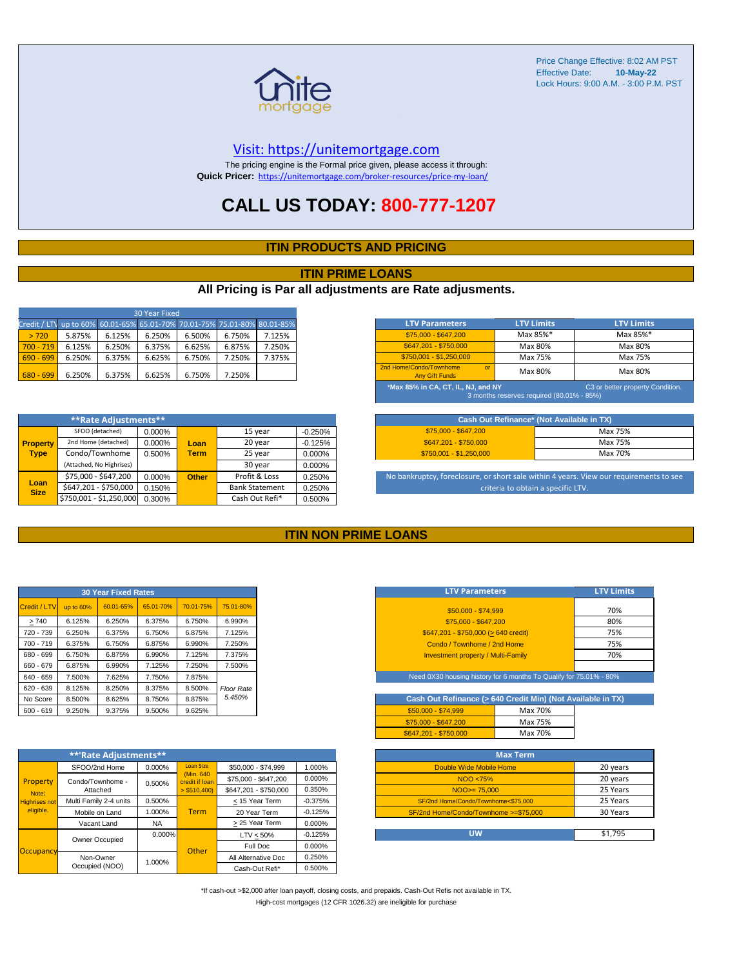

#### [V](https://unitemortgage.com/)isit: https://unitemortgage.com

The pricing engine is the Formal price given, please access it through: **Quick Pricer:** [https://un](https://unitemortgage.com/broker-resources/price-my-loan/)itemortgage.com/broker-resources/price-my-loan/

### **CALL US TODAY: 800-777-1207**

#### **ITIN PRODUCTS AND PRICING**

#### **ITIN PRIME LOANS**

#### **All Pricing is Par all adjustments are Rate adjusments.**

| 30 Year Fixed                                                            |        |        |        |        |        |        |  |  |  |
|--------------------------------------------------------------------------|--------|--------|--------|--------|--------|--------|--|--|--|
| Credit / LTV up to 60% 60.01-65% 65.01-70% 70.01-75% 75.01-80% 80.01-85% |        |        |        |        |        |        |  |  |  |
| > 720                                                                    | 5.875% | 6.125% | 6.250% | 6.500% | 6.750% | 7.125% |  |  |  |
| $700 - 719$                                                              | 6.125% | 6.250% | 6.375% | 6.625% | 6.875% | 7.250% |  |  |  |
| $690 - 699$                                                              | 6.250% | 6.375% | 6.625% | 6.750% | 7.250% | 7.375% |  |  |  |
| $680 - 699$                                                              | 6.250% | 6.375% | 6.625% | 6.750% | 7.250% |        |  |  |  |

|                     | **Rate Adjustments**     |        |              |                       |           |
|---------------------|--------------------------|--------|--------------|-----------------------|-----------|
|                     | SFOO (detached)          | 0.000% |              | 15 year               | $-0.250%$ |
| <b>Property</b>     | 2nd Home (detached)      | 0.000% | Loan         | 20 year               | $-0.125%$ |
| <b>Type</b>         | Condo/Townhome           | 0.500% | <b>Term</b>  | 25 year               | 0.000%    |
|                     | (Attached, No Highrises) |        |              | 30 year               | 0.000%    |
|                     | \$75,000 - \$647,200     | 0.000% | <b>Other</b> | Profit & Loss         | 0.250%    |
| Loan<br><b>Size</b> | \$647,201 - \$750,000    | 0.150% |              | <b>Bank Statement</b> | 0.250%    |
|                     | \$750,001 - \$1,250,000  | 0.300% |              | Cash Out Refi*        | 0.500%    |

| <b>LTV Parameters</b>                                                                                               | <b>LTV Limits</b> | <b>LTV Limits</b> |  |  |  |  |  |
|---------------------------------------------------------------------------------------------------------------------|-------------------|-------------------|--|--|--|--|--|
| \$75,000 - \$647,200                                                                                                | Max 85%*          | Max 85%*          |  |  |  |  |  |
| \$647.201 - \$750.000                                                                                               | Max 80%           | Max 80%           |  |  |  |  |  |
| $$750,001 - $1,250,000$                                                                                             | Max 75%           | Max 75%           |  |  |  |  |  |
| 2nd Home/Condo/Townhome<br>$\alpha$<br><b>Any Gift Funds</b>                                                        | Max 80%           | Max 80%           |  |  |  |  |  |
| *Max 85% in CA, CT, IL, NJ, and NY<br>C3 or better property Condition.<br>3 months reserves required (80.01% - 85%) |                   |                   |  |  |  |  |  |

| Cash Out Refinance* (Not Available in TX) |         |  |  |  |  |  |
|-------------------------------------------|---------|--|--|--|--|--|
| \$75,000 - \$647,200                      | Max 75% |  |  |  |  |  |
| \$647.201 - \$750.000                     | Max 75% |  |  |  |  |  |
| $$750.001 - $1.250.000$                   | Max 70% |  |  |  |  |  |

No bankruptcy, foreclosure, or short sale within 4 years. View our requirements to see criteria to obtain a specific LTV.

#### **ITIN NON PRIME LOANS**

| <b>30 Year Fixed Rates</b> |           |           |           |           |                   |  |  |  |  |
|----------------------------|-----------|-----------|-----------|-----------|-------------------|--|--|--|--|
| Credit / LTV               | up to 60% | 60.01-65% | 65.01-70% | 70.01-75% | 75.01-80%         |  |  |  |  |
| >740                       | 6.125%    | 6.250%    | 6.375%    | 6.750%    | 6.990%            |  |  |  |  |
| 720 - 739                  | 6.250%    | 6.375%    | 6.750%    | 6.875%    | 7.125%            |  |  |  |  |
| $700 - 719$                | 6.375%    | 6.750%    | 6.875%    | 6.990%    | 7.250%            |  |  |  |  |
| 680 - 699                  | 6.750%    | 6.875%    | 6.990%    | 7.125%    | 7.375%            |  |  |  |  |
| 660 - 679                  | 6.875%    | 6.990%    | 7.125%    | 7.250%    | 7.500%            |  |  |  |  |
| 640 - 659                  | 7.500%    | 7.625%    | 7.750%    | 7.875%    |                   |  |  |  |  |
| 620 - 639                  | 8.125%    | 8.250%    | 8.375%    | 8.500%    | <b>Floor Rate</b> |  |  |  |  |
| No Score                   | 8.500%    | 8.625%    | 8.750%    | 8.875%    | 5.450%            |  |  |  |  |
| $600 - 619$                | 9.250%    | 9.375%    | 9.500%    | 9.625%    |                   |  |  |  |  |

|                                   | **'Rate Adjustments**  |           |                              |                       |           |
|-----------------------------------|------------------------|-----------|------------------------------|-----------------------|-----------|
|                                   | SFOO/2nd Home          | 0.000%    | <b>Loan Size</b>             | \$50,000 - \$74,999   | 1.000%    |
| Property                          | Condo/Townhome -       | 0.500%    | (Min. 640)<br>credit if Ioan | \$75,000 - \$647,200  | 0.000%    |
| Note:                             | Attached               |           | $>$ \$510,400)               | \$647.201 - \$750.000 | 0.350%    |
| <b>Highrises not</b><br>eligible. | Multi Family 2-4 units | 0.500%    |                              | < 15 Year Term        | $-0.375%$ |
|                                   | Mobile on Land         | 1.000%    | <b>Term</b>                  | 20 Year Term          | $-0.125%$ |
|                                   | Vacant Land            | <b>NA</b> |                              | > 25 Year Term        | 0.000%    |
|                                   | Owner Occupied         | $0.000\%$ |                              | $LTV < 50\%$          | $-0.125%$ |
| Occupancy                         |                        |           | Other                        | Full Doc              | 0.000%    |
|                                   | Non-Owner              | 1.000%    |                              | All Alternative Doc   | 0.250%    |
|                                   | Occupied (NOO)         |           |                              | Cash-Out Refi*        | 0.500%    |

| <b>LTV Parameters</b>                        | <b>LTV Limits</b> |
|----------------------------------------------|-------------------|
| \$50,000 - \$74.999                          | 70%               |
| \$75,000 - \$647,200                         | 80%               |
| $$647,201 - $750,000 (> 640 \text{ credit})$ | 75%               |
| Condo / Townhome / 2nd Home                  | 75%               |
| <b>Investment property / Multi-Family</b>    | 70%               |
|                                              |                   |

Need 0X30 housing history for 6 months To Qualify for 75.01% - 80%

| Cash Out Refinance (> 640 Credit Min) (Not Available in TX) |         |  |  |  |  |  |  |  |  |  |  |
|-------------------------------------------------------------|---------|--|--|--|--|--|--|--|--|--|--|
| $$50.000 - $74.999$                                         | Max 70% |  |  |  |  |  |  |  |  |  |  |
| \$75,000 - \$647,200                                        | Max 75% |  |  |  |  |  |  |  |  |  |  |
| \$647.201 - \$750.000                                       | Max 70% |  |  |  |  |  |  |  |  |  |  |

| <b>Max Term</b>                       |          |
|---------------------------------------|----------|
| Double Wide Mobile Home               | 20 years |
| NOO <75%                              | 20 years |
| $NOO > = 75.000$                      | 25 Years |
| SF/2nd Home/Condo/Townhome<\$75.000   | 25 Years |
| SF/2nd Home/Condo/Townhome >=\$75,000 | 30 Years |
|                                       |          |
| UW                                    | \$1.795  |

\*If cash-out >\$2,000 after loan payoff, closing costs, and prepaids. Cash-Out Refis not available in TX. High-cost mortgages (12 CFR 1026.32) are ineligible for purchase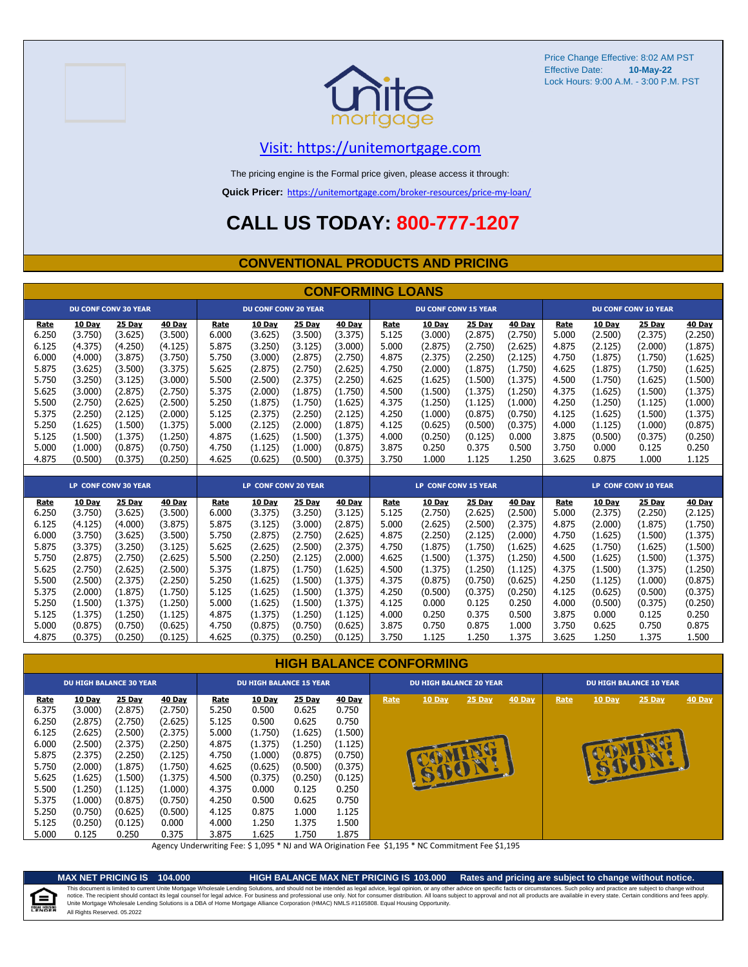



#### [V](https://unitemortgage.com/)isit: https://unitemortgage.com

The pricing engine is the Formal price given, please access it through:

**Quick Pricer:** [https://un](https://unitemortgage.com/broker-resources/price-my-loan/)itemortgage.com/broker-resources/price-my-loan/

# **CALL US TODAY: 800-777-1207**

#### **CONVENTIONAL PRODUCTS AND PRICING**

|       | <b>CONFORMING LOANS</b> |                             |         |                      |                             |         |         |                             |         |         |               |       |                      |                             |         |
|-------|-------------------------|-----------------------------|---------|----------------------|-----------------------------|---------|---------|-----------------------------|---------|---------|---------------|-------|----------------------|-----------------------------|---------|
|       |                         | <b>DU CONF CONV 30 YEAR</b> |         |                      | <b>DU CONF CONV 20 YEAR</b> |         |         | <b>DU CONF CONV 15 YEAR</b> |         |         |               |       |                      | <b>DU CONF CONV 10 YEAR</b> |         |
| Rate  | 10 Day                  | <b>25 Day</b>               | 40 Day  | Rate                 | 10 Day                      | 25 Day  | 40 Day  | Rate                        | 10 Day  | 25 Day  | <b>40 Day</b> | Rate  | 10 Day               | 25 Day                      | 40 Day  |
| 6.250 | (3.750)                 | (3.625)                     | (3.500) | 6.000                | (3.625)                     | (3.500) | (3.375) | 5.125                       | (3.000) | (2.875) | (2.750)       | 5.000 | (2.500)              | (2.375)                     | (2.250) |
| 6.125 | (4.375)                 | (4.250)                     | (4.125) | 5.875                | (3.250)                     | (3.125) | (3.000) | 5.000                       | (2.875) | (2.750) | (2.625)       | 4.875 | (2.125)              | (2.000)                     | (1.875) |
| 6.000 | (4.000)                 | (3.875)                     | (3.750) | 5.750                | (3.000)                     | (2.875) | (2.750) | 4.875                       | (2.375) | (2.250) | (2.125)       | 4.750 | (1.875)              | (1.750)                     | (1.625) |
| 5.875 | (3.625)                 | (3.500)                     | (3.375) | 5.625                | (2.875)                     | (2.750) | (2.625) | 4.750                       | (2.000) | (1.875) | (1.750)       | 4.625 | (1.875)              | (1.750)                     | (1.625) |
| 5.750 | (3.250)                 | (3.125)                     | (3.000) | 5.500                | (2.500)                     | (2.375) | (2.250) | 4.625                       | (1.625) | (1.500) | (1.375)       | 4.500 | (1.750)              | (1.625)                     | (1.500) |
| 5.625 | (3.000)                 | (2.875)                     | (2.750) | 5.375                | (2.000)                     | (1.875) | (1.750) | 4.500                       | (1.500) | (1.375) | (1.250)       | 4.375 | (1.625)              | (1.500)                     | (1.375) |
| 5.500 | (2.750)                 | (2.625)                     | (2.500) | 5.250                | (1.875)                     | (1.750) | (1.625) | 4.375                       | (1.250) | (1.125) | (1.000)       | 4.250 | (1.250)              | (1.125)                     | (1.000) |
| 5.375 | (2.250)                 | (2.125)                     | (2.000) | 5.125                | (2.375)                     | (2.250) | (2.125) | 4.250                       | (1.000) | (0.875) | (0.750)       | 4.125 | (1.625)              | (1.500)                     | (1.375) |
| 5.250 | (1.625)                 | (1.500)                     | (1.375) | 5.000                | (2.125)                     | (2.000) | (1.875) | 4.125                       | (0.625) | (0.500) | (0.375)       | 4.000 | (1.125)              | (1.000)                     | (0.875) |
| 5.125 | (1.500)                 | (1.375)                     | (1.250) | 4.875                | (1.625)                     | (1.500) | (1.375) | 4.000                       | (0.250) | (0.125) | 0.000         | 3.875 | (0.500)              | (0.375)                     | (0.250) |
| 5.000 | (1.000)                 | (0.875)                     | (0.750) | 4.750                | (1.125)                     | (1.000) | (0.875) | 3.875                       | 0.250   | 0.375   | 0.500         | 3.750 | 0.000                | 0.125                       | 0.250   |
| 4.875 | (0.500)                 | (0.375)                     | (0.250) | 4.625                | (0.625)                     | (0.500) | (0.375) | 3.750                       | 1.000   | 1.125   | 1.250         | 3.625 | 0.875                | 1.000                       | 1.125   |
|       |                         |                             |         |                      |                             |         |         |                             |         |         |               |       |                      |                             |         |
|       |                         | LP CONF CONV 30 YEAR        |         | LP CONF CONV 20 YEAR |                             |         |         | <b>LP CONF CONV 15 YEAR</b> |         |         |               |       | LP CONF CONV 10 YEAR |                             |         |
| Rate  | 10 Day                  | 25 Day                      | 40 Day  | Rate                 | 10 Day                      | 25 Day  | 40 Day  | Rate                        | 10 Day  | 25 Day  | 40 Day        | Rate  | 10 Day               | 25 Day                      | 40 Day  |
| 6.250 | (3.750)                 | (3.625)                     | (3.500) | 6.000                | (3.375)                     | (3.250) | (3.125) | 5.125                       | (2.750) | (2.625) | (2.500)       | 5.000 | (2.375)              | (2.250)                     | (2.125) |
| 6.125 | (4.125)                 | (4.000)                     | (3.875) | 5.875                | (3.125)                     | (3.000) | (2.875) | 5.000                       | (2.625) | (2.500) | (2.375)       | 4.875 | (2.000)              | (1.875)                     | (1.750) |
| 6.000 | (3.750)                 | (3.625)                     | (3.500) | 5.750                | (2.875)                     | (2.750) | (2.625) | 4.875                       | (2.250) | (2.125) | (2.000)       | 4.750 | (1.625)              | (1.500)                     | (1.375) |
| 5.875 | (3.375)                 | (3.250)                     | (3.125) | 5.625                | (2.625)                     | (2.500) | (2.375) | 4.750                       | (1.875) | (1.750) | (1.625)       | 4.625 | (1.750)              | (1.625)                     | (1.500) |
| 5.750 | (2.875)                 | (2.750)                     | (2.625) | 5.500                | (2.250)                     | (2.125) | (2.000) | 4.625                       | (1.500) | (1.375) | (1.250)       | 4.500 | (1.625)              | (1.500)                     | (1.375) |
| 5.625 | (2.750)                 | (2.625)                     | (2.500) | 5.375                | (1.875)                     | (1.750) | (1.625) | 4.500                       | (1.375) | (1.250) | (1.125)       | 4.375 | (1.500)              | (1.375)                     | (1.250) |
| 5.500 | (2.500)                 | (2.375)                     | (2.250) | 5.250                | (1.625)                     | (1.500) | (1.375) | 4.375                       | (0.875) | (0.750) | (0.625)       | 4.250 | (1.125)              | (1.000)                     | (0.875) |
| 5.375 | (2.000)                 | (1.875)                     | (1.750) | 5.125                | (1.625)                     | (1.500) | (1.375) | 4.250                       | (0.500) | (0.375) | (0.250)       | 4.125 | (0.625)              | (0.500)                     | (0.375) |
| 5.250 | (1.500)                 | (1.375)                     | (1.250) | 5.000                | (1.625)                     | (1.500) | (1.375) | 4.125                       | 0.000   | 0.125   | 0.250         | 4.000 | (0.500)              | (0.375)                     | (0.250) |
| 5.125 | (1.375)                 | (1.250)                     | (1.125) | 4.875                | (1.375)                     | (1.250) | (1.125) | 4.000                       | 0.250   | 0.375   | 0.500         | 3.875 | 0.000                | 0.125                       | 0.250   |
| 5.000 | (0.875)                 | (0.750)                     | (0.625) | 4.750                | (0.875)                     | (0.750) | (0.625) | 3.875                       | 0.750   | 0.875   | 1.000         | 3.750 | 0.625                | 0.750                       | 0.875   |
| 4.875 | (0.375)                 | (0.250)                     | (0.125) | 4.625                | (0.375)                     | (0.250) | (0.125) | 3.750                       | 1.125   | 1.250   | 1.375         | 3.625 | 1.250                | 1.375                       | 1.500   |

#### **HIGH BALANCE CONFORMING**

|       | <b>DU HIGH BALANCE 30 YEAR</b> |         |               |       | <b>DU HIGH BALANCE 15 YEAR</b> |               |               |      | <b>DU HIGH BALANCE 20 YEAR</b> |              |        | <b>DU HIGH BALANCE 10 YEAR</b> |        |          |               |
|-------|--------------------------------|---------|---------------|-------|--------------------------------|---------------|---------------|------|--------------------------------|--------------|--------|--------------------------------|--------|----------|---------------|
| Rate  | 10 Day                         | 25 Day  | <b>40 Day</b> | Rate  | <b>10 Day</b>                  | <b>25 Day</b> | <b>40 Day</b> | Rate | 10 Day                         | $25$ Day     | 40 Day | Rate                           | 10 Day | $25$ Day | <b>40 Day</b> |
| 6.375 | (3.000)                        | (2.875) | (2.750)       | 5.250 | 0.500                          | 0.625         | 0.750         |      |                                |              |        |                                |        |          |               |
| 6.250 | (2.875)                        | (2.750) | (2.625)       | 5.125 | 0.500                          | 0.625         | 0.750         |      |                                |              |        |                                |        |          |               |
| 6.125 | (2.625)                        | (2.500) | (2.375)       | 5.000 | (1.750)                        | (1.625)       | (1.500)       |      |                                |              |        |                                |        |          |               |
| 6.000 | (2.500)                        | (2.375) | (2.250)       | 4.875 | (1.375)                        | (1.250)       | (1.125)       |      |                                |              |        |                                |        |          |               |
| 5.875 | (2.375)                        | (2.250) | (2.125)       | 4.750 | (1.000)                        | (0.875)       | (0.750)       |      |                                |              |        |                                |        |          |               |
| 5.750 | (2.000)                        | (1.875) | (1.750)       | 4.625 | (0.625)                        | (0.500)       | (0.375)       |      |                                | <b>SUCHA</b> |        |                                |        |          |               |
| 5.625 | (1.625)                        | (1.500) | (1.375)       | 4.500 | (0.375)                        | (0.250)       | (0.125)       |      |                                |              |        |                                |        |          |               |
| 5.500 | (1.250)                        | (1.125) | (1.000)       | 4.375 | 0.000                          | 0.125         | 0.250         |      |                                |              |        |                                |        |          |               |
| 5.375 | (1.000)                        | (0.875) | (0.750)       | 4.250 | 0.500                          | 0.625         | 0.750         |      |                                |              |        |                                |        |          |               |
| 5.250 | (0.750)                        | (0.625) | (0.500)       | 4.125 | 0.875                          | 1.000         | 1.125         |      |                                |              |        |                                |        |          |               |
| 5.125 | (0.250)                        | (0.125) | 0.000         | 4.000 | 1.250                          | 1.375         | 1.500         |      |                                |              |        |                                |        |          |               |
| 5.000 | 0.125                          | 0.250   | 0.375         | 3.875 | L.625                          | 1.750         | 1.875         |      |                                |              |        |                                |        |          |               |

Agency Underwriting Fee: \$ 1,095 \* NJ and WA Origination Fee \$1,195 \* NC Commitment Fee \$1,195



**MAX NET PRICING IS 104.000 HIGH BALANCE MAX NET PRICING IS 103.000 Rates and pricing are subject to change without notice.** All Rights Reserved. 05.2022 This document is limited to current Unite Mortgage Wholesale Lending Solutions, and should not be intended as legal advice, legal opinion, or any other advice on specific facts or circumstances. Such policy and practice ar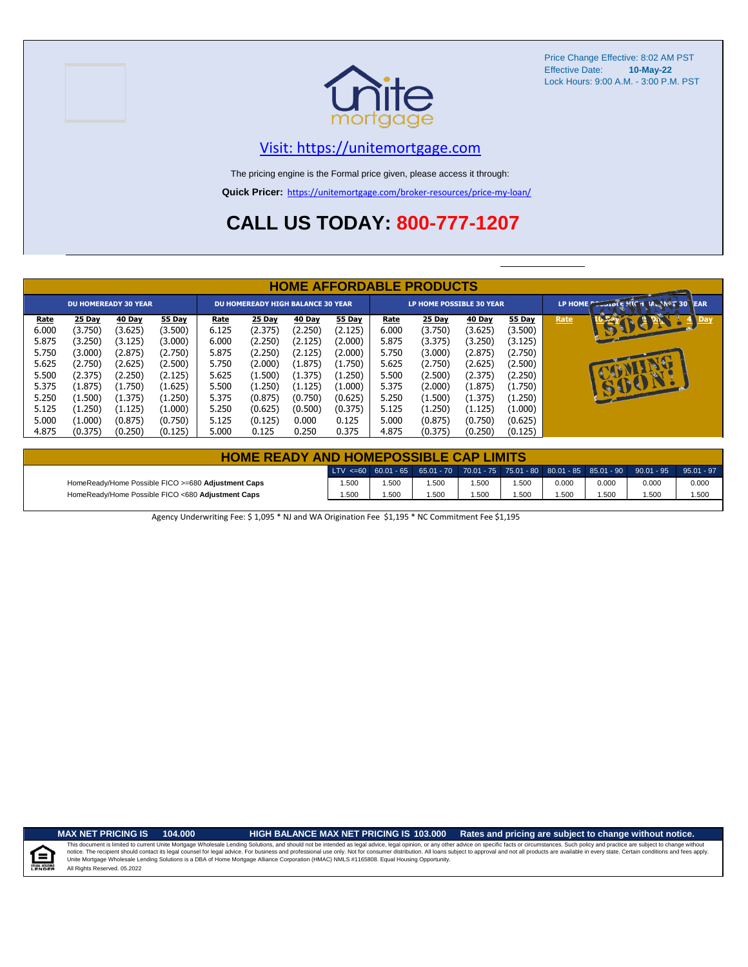



#### [V](https://unitemortgage.com/)isit: https://unitemortgage.com

The pricing engine is the Formal price given, please access it through:

**Quick Pricer:** [https://un](https://unitemortgage.com/broker-resources/price-my-loan/)itemortgage.com/broker-resources/price-my-loan/

# **CALL US TODAY: 800-777-1207**

|                                                                                       | <b>HOME AFFORDABLE PRODUCTS</b>                                                                           |                                                                                                           |                                                                                                           |                                                                                       |                                                                                                           |                                                                                                         |                                                                                                         |                                                                                       |                                                                                                           |                                                                                                           |                                                                                                           |      |                                     |  |
|---------------------------------------------------------------------------------------|-----------------------------------------------------------------------------------------------------------|-----------------------------------------------------------------------------------------------------------|-----------------------------------------------------------------------------------------------------------|---------------------------------------------------------------------------------------|-----------------------------------------------------------------------------------------------------------|---------------------------------------------------------------------------------------------------------|---------------------------------------------------------------------------------------------------------|---------------------------------------------------------------------------------------|-----------------------------------------------------------------------------------------------------------|-----------------------------------------------------------------------------------------------------------|-----------------------------------------------------------------------------------------------------------|------|-------------------------------------|--|
| <b>DU HOMEREADY 30 YEAR</b>                                                           |                                                                                                           |                                                                                                           |                                                                                                           | <b>DU HOMEREADY HIGH BALANCE 30 YEAR</b>                                              |                                                                                                           |                                                                                                         |                                                                                                         | <b>LP HOME POSSIBLE 30 YEAR</b>                                                       |                                                                                                           |                                                                                                           |                                                                                                           |      | LP HOME COOLDIE PICH MANNET 30 TEAR |  |
| Rate<br>6.000<br>5.875<br>5.750<br>5.625<br>5.500<br>5.375<br>5.250<br>5.125<br>5.000 | 25 Day<br>(3.750)<br>(3.250)<br>(3.000)<br>(2.750)<br>(2.375)<br>(1.875)<br>(1.500)<br>(1.250)<br>(1.000) | 40 Day<br>(3.625)<br>(3.125)<br>(2.875)<br>(2.625)<br>(2.250)<br>(1.750)<br>(1.375)<br>(1.125)<br>(0.875) | 55 Day<br>(3.500)<br>(3.000)<br>(2.750)<br>(2.500)<br>(2.125)<br>(1.625)<br>(1.250)<br>(1.000)<br>(0.750) | Rate<br>6.125<br>6.000<br>5.875<br>5.750<br>5.625<br>5.500<br>5.375<br>5.250<br>5.125 | 25 Day<br>(2.375)<br>(2.250)<br>(2.250)<br>(2.000)<br>(1.500)<br>(1.250)<br>(0.875)<br>(0.625)<br>(0.125) | 40 Day<br>(2.250)<br>(2.125)<br>(2.125)<br>(1.875)<br>(1.375)<br>(1.125)<br>(0.750)<br>(0.500)<br>0.000 | 55 Day<br>(2.125)<br>(2.000)<br>(2.000)<br>(1.750)<br>(1.250)<br>(1.000)<br>(0.625)<br>(0.375)<br>0.125 | Rate<br>6.000<br>5.875<br>5.750<br>5.625<br>5.500<br>5.375<br>5.250<br>5.125<br>5.000 | 25 Day<br>(3.750)<br>(3.375)<br>(3.000)<br>(2.750)<br>(2.500)<br>(2.000)<br>(1.500)<br>(1.250)<br>(0.875) | 40 Day<br>(3.625)<br>(3.250)<br>(2.875)<br>(2.625)<br>(2.375)<br>(1.875)<br>(1.375)<br>(1.125)<br>(0.750) | 55 Day<br>(3.500)<br>(3.125)<br>(2.750)<br>(2.500)<br>(2.250)<br>(1.750)<br>(1.250)<br>(1.000)<br>(0.625) | Rate | 0<br>Day<br><b>ARA</b>              |  |
| 4.875                                                                                 | (0.375)                                                                                                   | (0.250)                                                                                                   | (0.125)                                                                                                   | 5.000                                                                                 | 0.125                                                                                                     | 0.250                                                                                                   | 0.375                                                                                                   | 4.875                                                                                 | (0.375)                                                                                                   | (0.250)                                                                                                   | (0.125)                                                                                                   |      |                                     |  |

| <b>HOME READY AND HOMEPOSSIBLE CAP LIMITS</b>      |      |       |                                                                                       |      |      |       |       |       |              |  |  |
|----------------------------------------------------|------|-------|---------------------------------------------------------------------------------------|------|------|-------|-------|-------|--------------|--|--|
|                                                    |      |       | LTV <=60 60.01 - 65 65.01 - 70 70.01 - 75 75.01 - 80 80.01 - 85 85.01 - 90 90.01 - 95 |      |      |       |       |       | $95.01 - 97$ |  |  |
| HomeReady/Home Possible FICO >=680 Adjustment Caps | .500 | 1.500 | .500                                                                                  | .500 | .500 | 0.000 | 0.000 | 0.000 | 0.000        |  |  |
| HomeReady/Home Possible FICO <680 Adjustment Caps  | .500 | 1.500 | .500                                                                                  | .500 | .500 | .500  | .500  | 1.500 | 1.500        |  |  |

Agency Underwriting Fee: \$ 1,095 \* NJ and WA Origination Fee \$1,195 \* NC Commitment Fee \$1,195

E

**MAX NET PRICING IS 104.000 HIGH BALANCE MAX NET PRICING IS 103.000 Rates and pricing are subject to change without notice.**

All Rights Reserved. 05.2022 This document is limited to current Unite Mortgage Wholesale Lending Solutions, and should not be intended as legal advice, legal opinion, or any other advice on specific facts or circumstances. Such policy and practice ar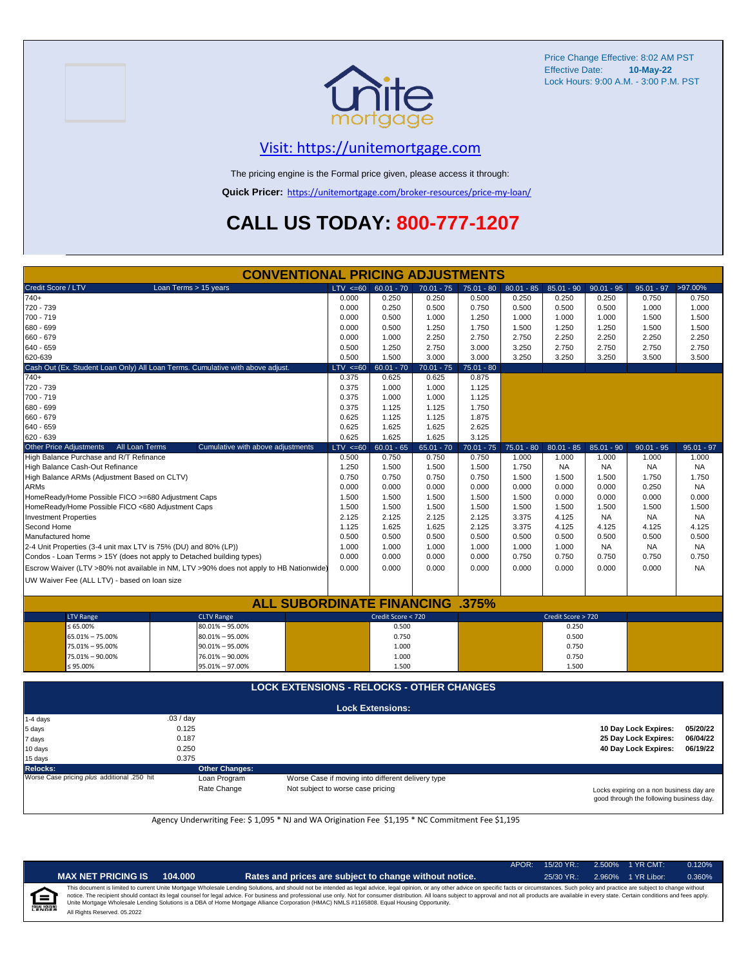

### [V](https://unitemortgage.com/)isit: https://unitemortgage.com

The pricing engine is the Formal price given, please access it through:

**Quick Pricer:** [https://un](https://unitemortgage.com/broker-resources/price-my-loan/)itemortgage.com/broker-resources/price-my-loan/

# **CALL US TODAY: 800-777-1207**

|                              | <b>CONVENTIONAL PRICING ADJUSTMENTS</b>                         |                                                                                        |              |                         |              |              |              |                    |              |                                                           |              |  |
|------------------------------|-----------------------------------------------------------------|----------------------------------------------------------------------------------------|--------------|-------------------------|--------------|--------------|--------------|--------------------|--------------|-----------------------------------------------------------|--------------|--|
| Credit Score / LTV           |                                                                 | Loan Terms > 15 years                                                                  | $LTV \le 60$ | $60.01 - 70$            | $70.01 - 75$ | $75.01 - 80$ | $80.01 - 85$ | $85.01 - 90$       | $90.01 - 95$ | $95.01 - 97$                                              | >97.00%      |  |
| 740+                         |                                                                 |                                                                                        | 0.000        | 0.250                   | 0.250        | 0.500        | 0.250        | 0.250              | 0.250        | 0.750                                                     | 0.750        |  |
| 720 - 739                    |                                                                 |                                                                                        | 0.000        | 0.250                   | 0.500        | 0.750        | 0.500        | 0.500              | 0.500        | 1.000                                                     | 1.000        |  |
| 700 - 719                    |                                                                 |                                                                                        | 0.000        | 0.500                   | 1.000        | 1.250        | 1.000        | 1.000              | 1.000        | 1.500                                                     | 1.500        |  |
| 680 - 699                    |                                                                 |                                                                                        | 0.000        | 0.500                   | 1.250        | 1.750        | 1.500        | 1.250              | 1.250        | 1.500                                                     | 1.500        |  |
| 660 - 679                    |                                                                 |                                                                                        | 0.000        | 1.000                   | 2.250        | 2.750        | 2.750        | 2.250              | 2.250        | 2.250                                                     | 2.250        |  |
| 640 - 659                    |                                                                 |                                                                                        | 0.500        | 1.250                   | 2.750        | 3.000        | 3.250        | 2.750              | 2.750        | 2.750                                                     | 2.750        |  |
| 620-639                      |                                                                 |                                                                                        | 0.500        | 1.500                   | 3.000        | 3.000        | 3.250        | 3.250              | 3.250        | 3.500                                                     | 3.500        |  |
|                              |                                                                 | Cash Out (Ex. Student Loan Only) All Loan Terms. Cumulative with above adjust.         | $LTV \le 60$ | $60.01 - 70$            | $70.01 - 75$ | $75.01 - 80$ |              |                    |              |                                                           |              |  |
| $740+$                       |                                                                 |                                                                                        | 0.375        | 0.625                   | 0.625        | 0.875        |              |                    |              |                                                           |              |  |
| 720 - 739                    |                                                                 |                                                                                        | 0.375        | 1.000                   | 1.000        | 1.125        |              |                    |              |                                                           |              |  |
| 700 - 719                    |                                                                 |                                                                                        | 0.375        | 1.000                   | 1.000        | 1.125        |              |                    |              |                                                           |              |  |
| 680 - 699                    |                                                                 |                                                                                        | 0.375        | 1.125                   | 1.125        | 1.750        |              |                    |              |                                                           |              |  |
| 660 - 679                    |                                                                 |                                                                                        | 0.625        | 1.125                   | 1.125        | 1.875        |              |                    |              |                                                           |              |  |
| 640 - 659                    |                                                                 |                                                                                        | 0.625        | 1.625                   | 1.625        | 2.625        |              |                    |              |                                                           |              |  |
| $620 - 639$                  |                                                                 |                                                                                        | 0.625        | 1.625                   | 1.625        | 3.125        |              |                    |              |                                                           |              |  |
|                              | All Loan Terms<br><b>Other Price Adjustments</b>                | Cumulative with above adjustments                                                      | $LTV < =60$  | $60.01 - 65$            | $65.01 - 70$ | $70.01 - 75$ | $75.01 - 80$ | $80.01 - 85$       | $85.01 - 90$ | $90.01 - 95$                                              | $95.01 - 97$ |  |
|                              | High Balance Purchase and R/T Refinance                         |                                                                                        | 0.500        | 0.750                   | 0.750        | 0.750        | 1.000        | 1.000              | 1.000        | 1.000                                                     | 1.000        |  |
|                              | High Balance Cash-Out Refinance                                 |                                                                                        | 1.250        | 1.500                   | 1.500        | 1.500        | 1.750        | <b>NA</b>          | <b>NA</b>    | <b>NA</b>                                                 | <b>NA</b>    |  |
|                              | High Balance ARMs (Adjustment Based on CLTV)                    |                                                                                        | 0.750        | 0.750                   | 0.750        | 0.750        | 1.500        | 1.500              | 1.500        | 1.750                                                     | 1.750        |  |
| <b>ARMs</b>                  |                                                                 |                                                                                        | 0.000        | 0.000                   | 0.000        | 0.000        | 0.000        | 0.000              | 0.000        | 0.250                                                     | <b>NA</b>    |  |
|                              | HomeReady/Home Possible FICO >=680 Adjustment Caps              |                                                                                        | 1.500        | 1.500                   | 1.500        | 1.500        | 1.500        | 0.000              | 0.000        | 0.000                                                     | 0.000        |  |
|                              | HomeReady/Home Possible FICO <680 Adjustment Caps               |                                                                                        | 1.500        | 1.500                   | 1.500        | 1.500        | 1.500        | 1.500              | 1.500        | 1.500                                                     | 1.500        |  |
| <b>Investment Properties</b> |                                                                 |                                                                                        | 2.125        | 2.125                   | 2.125        | 2.125        | 3.375        | 4.125              | <b>NA</b>    | <b>NA</b>                                                 | <b>NA</b>    |  |
| Second Home                  |                                                                 |                                                                                        | 1.125        | 1.625                   | 1.625        | 2.125        | 3.375        | 4.125              | 4.125        | 4.125                                                     | 4.125        |  |
| Manufactured home            |                                                                 |                                                                                        | 0.500        | 0.500                   | 0.500        | 0.500        | 0.500        | 0.500              | 0.500        | 0.500                                                     | 0.500        |  |
|                              | 2-4 Unit Properties (3-4 unit max LTV is 75% (DU) and 80% (LP)) |                                                                                        | 1.000        | 1.000                   | 1.000        | 1.000        | 1.000        | 1.000              | <b>NA</b>    | <b>NA</b>                                                 | <b>NA</b>    |  |
|                              |                                                                 | Condos - Loan Terms > 15Y (does not apply to Detached building types)                  | 0.000        | 0.000                   | 0.000        | 0.000        | 0.750        | 0.750              | 0.750        | 0.750                                                     | 0.750        |  |
|                              |                                                                 | Escrow Waiver (LTV >80% not available in NM, LTV >90% does not apply to HB Nationwide) | 0.000        | 0.000                   | 0.000        | 0.000        | 0.000        | 0.000              | 0.000        | 0.000                                                     | <b>NA</b>    |  |
|                              | UW Waiver Fee (ALL LTV) - based on loan size                    |                                                                                        |              |                         |              |              |              |                    |              |                                                           |              |  |
|                              |                                                                 |                                                                                        |              |                         |              |              |              |                    |              |                                                           |              |  |
|                              |                                                                 | <b>ALL SUBORDINATE FINANCING</b>                                                       |              |                         |              | .375%        |              |                    |              |                                                           |              |  |
|                              | <b>LTV Range</b>                                                | <b>CLTV Range</b>                                                                      |              | Credit Score < 720      |              |              |              | Credit Score > 720 |              |                                                           |              |  |
|                              | $\leq 65.00\%$                                                  | $80.01\% - 95.00\%$                                                                    |              | 0.500                   |              |              |              | 0.250              |              |                                                           |              |  |
|                              | $65.01\% - 75.00\%$                                             | $80.01\% - 95.00\%$                                                                    |              | 0.750                   |              |              |              | 0.500              |              |                                                           |              |  |
|                              | 75.01% - 95.00%                                                 | $90.01\% - 95.00\%$                                                                    |              | 1.000                   |              |              |              | 0.750              |              |                                                           |              |  |
|                              | 75.01% - 90.00%<br>76.01% - 90.00%                              |                                                                                        |              |                         | 1.000        |              |              | 0.750              |              |                                                           |              |  |
|                              | ≤ 95.00%                                                        |                                                                                        | 1.500        |                         |              |              | 1.500        |                    |              |                                                           |              |  |
|                              |                                                                 |                                                                                        |              |                         |              |              |              |                    |              |                                                           |              |  |
|                              |                                                                 | <b>LOCK EXTENSIONS - RELOCKS - OTHER CHANGES</b>                                       |              |                         |              |              |              |                    |              |                                                           |              |  |
|                              |                                                                 |                                                                                        |              | <b>Lock Extensions:</b> |              |              |              |                    |              |                                                           |              |  |
| 1-4 days                     |                                                                 |                                                                                        |              |                         |              |              |              |                    |              |                                                           |              |  |
| 5 days                       |                                                                 | 0.125                                                                                  |              |                         |              |              |              |                    |              | 10 Day Lock Expires:                                      | 05/20/22     |  |
| 7 days                       |                                                                 | 0.187                                                                                  |              |                         |              |              |              |                    |              | 25 Day Lock Expires:                                      | 06/04/22     |  |
|                              |                                                                 | 0.052                                                                                  |              |                         |              |              |              |                    |              | $\sim$ B $\sim$ $\sim$ $\sim$ $\sim$ $\sim$ $\sim$ $\sim$ | 0.011010     |  |

| 10 days                                     | 0.250                 |                                                   | 40 Dav Lock Expires:<br>06/19/22                                                     |
|---------------------------------------------|-----------------------|---------------------------------------------------|--------------------------------------------------------------------------------------|
| 15 days                                     | 0.375                 |                                                   |                                                                                      |
| Relocks:                                    | <b>Other Changes:</b> |                                                   |                                                                                      |
| Worse Case pricing plus additional .250 hit | Loan Program          | Worse Case if moving into different delivery type |                                                                                      |
|                                             | Rate Change           | Not subject to worse case pricing                 | Locks expiring on a non business day are<br>good through the following business day. |

Agency Underwriting Fee: \$ 1,095 \* NJ and WA Origination Fee \$1,195 \* NC Commitment Fee \$1,195

| NDE |
|-----|

All Rights Reserved. 05.2022

| MAX NET PRICING IS | 104.000 | Rates and prices are subject to change without notice.                                                                                                                                                                         | $25/30$ YR.: | 2.960% 1 YR Libor: | 0.360% |
|--------------------|---------|--------------------------------------------------------------------------------------------------------------------------------------------------------------------------------------------------------------------------------|--------------|--------------------|--------|
|                    |         | This document is limited to current Unite Mortgage Wholesale Lending Solutions, and should not be intended as legal advice, legal opinion, or any other advice on specific facts or circumstances. Such policy and practice ar |              |                    |        |
|                    |         | notice. The recipient should contact its legal counsel for legal advice. For business and professional use only. Not for consumer distribution. All loans subject to approval and not all products are available in every stat |              |                    |        |
|                    |         | Unite Mortgage Wholesale Lending Solutions is a DBA of Home Mortgage Alliance Corporation (HMAC) NMLS #1165808. Equal Housing Opportunity.                                                                                     |              |                    |        |

APOR: 15/20 YR.: 2.500% 1 YR CMT: 0.120%